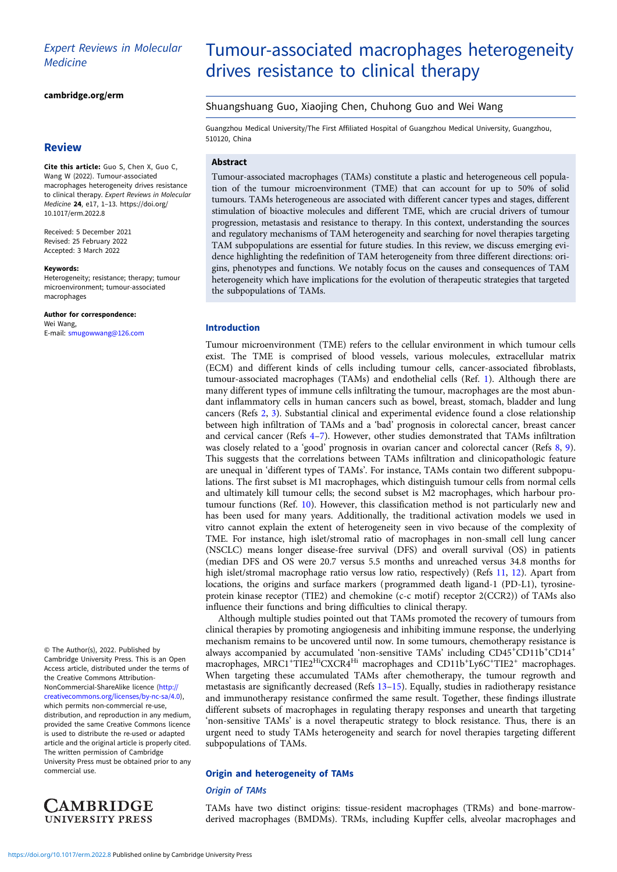# Expert Reviews in Molecular **Medicine**

# [cambridge.org/erm](https://www.cambridge.org/erm)

# **Review**

Cite this article: Guo S, Chen X, Guo C, Wang W (2022). Tumour-associated macrophages heterogeneity drives resistance to clinical therapy. Expert Reviews in Molecular Medicine 24, e17, 1–13. [https://doi.org/](https://doi.org/10.1017/erm.2022.8) [10.1017/erm.2022.8](https://doi.org/10.1017/erm.2022.8)

Received: 5 December 2021 Revised: 25 February 2022 Accepted: 3 March 2022

#### Keywords:

Heterogeneity; resistance; therapy; tumour microenvironment; tumour-associated macrophages

Author for correspondence: Wei Wang,

E-mail: [smugowwang@126.com](mailto:smugowwang@126.com)

© The Author(s), 2022. Published by Cambridge University Press. This is an Open Access article, distributed under the terms of the Creative Commons Attribution-NonCommercial-ShareAlike licence [\(http://](http://creativecommons.org/licenses/by-nc-sa/4.0) [creativecommons.org/licenses/by-nc-sa/4.0\)](http://creativecommons.org/licenses/by-nc-sa/4.0), which permits non-commercial re-use, distribution, and reproduction in any medium, provided the same Creative Commons licence is used to distribute the re-used or adapted article and the original article is properly cited. The written permission of Cambridge University Press must be obtained prior to any commercial use.



# Tumour-associated macrophages heterogeneity drives resistance to clinical therapy

# Shuangshuang Guo, Xiaojing Chen, Chuhong Guo and Wei Wang

Guangzhou Medical University/The First Affiliated Hospital of Guangzhou Medical University, Guangzhou, 510120, China

# Abstract

Tumour-associated macrophages (TAMs) constitute a plastic and heterogeneous cell population of the tumour microenvironment (TME) that can account for up to 50% of solid tumours. TAMs heterogeneous are associated with different cancer types and stages, different stimulation of bioactive molecules and different TME, which are crucial drivers of tumour progression, metastasis and resistance to therapy. In this context, understanding the sources and regulatory mechanisms of TAM heterogeneity and searching for novel therapies targeting TAM subpopulations are essential for future studies. In this review, we discuss emerging evidence highlighting the redefinition of TAM heterogeneity from three different directions: origins, phenotypes and functions. We notably focus on the causes and consequences of TAM heterogeneity which have implications for the evolution of therapeutic strategies that targeted the subpopulations of TAMs.

# Introduction

Tumour microenvironment (TME) refers to the cellular environment in which tumour cells exist. The TME is comprised of blood vessels, various molecules, extracellular matrix (ECM) and different kinds of cells including tumour cells, cancer-associated fibroblasts, tumour-associated macrophages (TAMs) and endothelial cells (Ref. [1\)](#page-9-0). Although there are many different types of immune cells infiltrating the tumour, macrophages are the most abundant inflammatory cells in human cancers such as bowel, breast, stomach, bladder and lung cancers (Refs [2,](#page-9-0) [3\)](#page-9-0). Substantial clinical and experimental evidence found a close relationship between high infiltration of TAMs and a 'bad' prognosis in colorectal cancer, breast cancer and cervical cancer (Refs [4](#page-9-0)–[7](#page-9-0)). However, other studies demonstrated that TAMs infiltration was closely related to a 'good' prognosis in ovarian cancer and colorectal cancer (Refs [8](#page-9-0), [9](#page-9-0)). This suggests that the correlations between TAMs infiltration and clinicopathologic feature are unequal in 'different types of TAMs'. For instance, TAMs contain two different subpopulations. The first subset is M1 macrophages, which distinguish tumour cells from normal cells and ultimately kill tumour cells; the second subset is M2 macrophages, which harbour protumour functions (Ref. [10](#page-9-0)). However, this classification method is not particularly new and has been used for many years. Additionally, the traditional activation models we used in vitro cannot explain the extent of heterogeneity seen in vivo because of the complexity of TME. For instance, high islet/stromal ratio of macrophages in non-small cell lung cancer (NSCLC) means longer disease-free survival (DFS) and overall survival (OS) in patients (median DFS and OS were 20.7 versus 5.5 months and unreached versus 34.8 months for high islet/stromal macrophage ratio versus low ratio, respectively) (Refs [11](#page-9-0), [12\)](#page-9-0). Apart from locations, the origins and surface markers (programmed death ligand-1 (PD-L1), tyrosineprotein kinase receptor (TIE2) and chemokine (c-c motif) receptor 2(CCR2)) of TAMs also influence their functions and bring difficulties to clinical therapy.

Although multiple studies pointed out that TAMs promoted the recovery of tumours from clinical therapies by promoting angiogenesis and inhibiting immune response, the underlying mechanism remains to be uncovered until now. In some tumours, chemotherapy resistance is always accompanied by accumulated 'non-sensitive TAMs' including CD45<sup>+</sup>CD11b<sup>+</sup>CD14<sup>+</sup> macrophages, MRC1<sup>+</sup>TIE2<sup>Hi</sup>CXCR4<sup>Hi</sup> macrophages and CD11b<sup>+</sup>Ly6C<sup>+</sup>TIE2<sup>+</sup> macrophages. When targeting these accumulated TAMs after chemotherapy, the tumour regrowth and metastasis are significantly decreased (Refs [13](#page-9-0)–[15](#page-9-0)). Equally, studies in radiotherapy resistance and immunotherapy resistance confirmed the same result. Together, these findings illustrate different subsets of macrophages in regulating therapy responses and unearth that targeting 'non-sensitive TAMs' is a novel therapeutic strategy to block resistance. Thus, there is an urgent need to study TAMs heterogeneity and search for novel therapies targeting different subpopulations of TAMs.

# Origin and heterogeneity of TAMs

# **Origin of TAMs**

TAMs have two distinct origins: tissue-resident macrophages (TRMs) and bone-marrowderived macrophages (BMDMs). TRMs, including Kupffer cells, alveolar macrophages and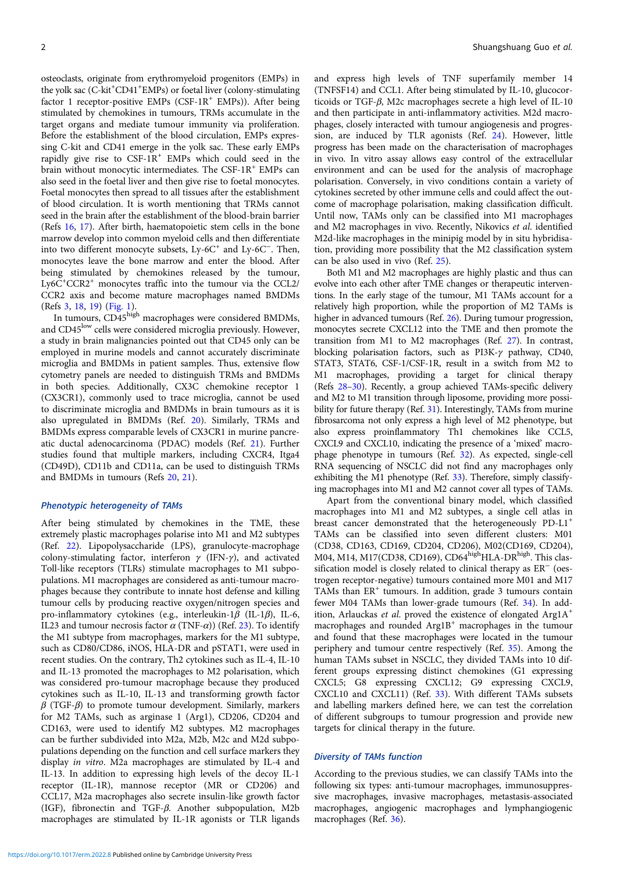osteoclasts, originate from erythromyeloid progenitors (EMPs) in the yolk sac (C-kit<sup>+</sup>CD41<sup>+</sup>EMPs) or foetal liver (colony-stimulating factor 1 receptor-positive EMPs (CSF- $1R^+$  EMPs)). After being stimulated by chemokines in tumours, TRMs accumulate in the target organs and mediate tumour immunity via proliferation. Before the establishment of the blood circulation, EMPs expressing C-kit and CD41 emerge in the yolk sac. These early EMPs rapidly give rise to  $CSF-1R^+$  EMPs which could seed in the brain without monocytic intermediates. The CSF-1 $R^+$  EMPs can also seed in the foetal liver and then give rise to foetal monocytes. Foetal monocytes then spread to all tissues after the establishment of blood circulation. It is worth mentioning that TRMs cannot seed in the brain after the establishment of the blood-brain barrier (Refs [16](#page-9-0), [17\)](#page-9-0). After birth, haematopoietic stem cells in the bone marrow develop into common myeloid cells and then differentiate into two different monocyte subsets, Ly-6C<sup>+</sup> and Ly-6C−. Then, monocytes leave the bone marrow and enter the blood. After being stimulated by chemokines released by the tumour, Ly6C<sup>+</sup>CCR2<sup>+</sup> monocytes traffic into the tumour via the CCL2/ CCR2 axis and become mature macrophages named BMDMs (Refs [3,](#page-9-0) [18,](#page-9-0) [19](#page-9-0)) ([Fig. 1\)](#page-2-0).

In tumours, CD45high macrophages were considered BMDMs, and CD45<sup>low</sup> cells were considered microglia previously. However, a study in brain malignancies pointed out that CD45 only can be employed in murine models and cannot accurately discriminate microglia and BMDMs in patient samples. Thus, extensive flow cytometry panels are needed to distinguish TRMs and BMDMs in both species. Additionally, CX3C chemokine receptor 1 (CX3CR1), commonly used to trace microglia, cannot be used to discriminate microglia and BMDMs in brain tumours as it is also upregulated in BMDMs (Ref. [20\)](#page-9-0). Similarly, TRMs and BMDMs express comparable levels of CX3CR1 in murine pancreatic ductal adenocarcinoma (PDAC) models (Ref. [21\)](#page-9-0). Further studies found that multiple markers, including CXCR4, Itga4 (CD49D), CD11b and CD11a, can be used to distinguish TRMs and BMDMs in tumours (Refs [20,](#page-9-0) [21](#page-9-0)).

# Phenotypic heterogeneity of TAMs

After being stimulated by chemokines in the TME, these extremely plastic macrophages polarise into M1 and M2 subtypes (Ref. [22](#page-9-0)). Lipopolysaccharide (LPS), granulocyte-macrophage colony-stimulating factor, interferon  $\gamma$  (IFN- $\gamma$ ), and activated Toll-like receptors (TLRs) stimulate macrophages to M1 subpopulations. M1 macrophages are considered as anti-tumour macrophages because they contribute to innate host defense and killing tumour cells by producing reactive oxygen/nitrogen species and pro-inflammatory cytokines (e.g., interleukin-1β (IL-1β), IL-6, IL23 and tumour necrosis factor  $\alpha$  (TNF- $\alpha$ )) (Ref. [23\)](#page-9-0). To identify the M1 subtype from macrophages, markers for the M1 subtype, such as CD80/CD86, iNOS, HLA-DR and pSTAT1, were used in recent studies. On the contrary, Th2 cytokines such as IL-4, IL-10 and IL-13 promoted the macrophages to M2 polarisation, which was considered pro-tumour macrophage because they produced cytokines such as IL-10, IL-13 and transforming growth factor  $β$  (TGF- $β$ ) to promote tumour development. Similarly, markers for M2 TAMs, such as arginase 1 (Arg1), CD206, CD204 and CD163, were used to identify M2 subtypes. M2 macrophages can be further subdivided into M2a, M2b, M2c and M2d subpopulations depending on the function and cell surface markers they display in vitro. M2a macrophages are stimulated by IL-4 and IL-13. In addition to expressing high levels of the decoy IL-1 receptor (IL-1R), mannose receptor (MR or CD206) and CCL17, M2a macrophages also secrete insulin-like growth factor (IGF), fibronectin and TGF-β. Another subpopulation, M2b macrophages are stimulated by IL-1R agonists or TLR ligands

and express high levels of TNF superfamily member 14 (TNFSF14) and CCL1. After being stimulated by IL-10, glucocorticoids or TGF-β, M2c macrophages secrete a high level of IL-10 and then participate in anti-inflammatory activities. M2d macrophages, closely interacted with tumour angiogenesis and progression, are induced by TLR agonists (Ref. [24\)](#page-9-0). However, little progress has been made on the characterisation of macrophages in vivo. In vitro assay allows easy control of the extracellular environment and can be used for the analysis of macrophage polarisation. Conversely, in vivo conditions contain a variety of cytokines secreted by other immune cells and could affect the outcome of macrophage polarisation, making classification difficult. Until now, TAMs only can be classified into M1 macrophages and M2 macrophages in vivo. Recently, Nikovics et al. identified M2d-like macrophages in the minipig model by in situ hybridisation, providing more possibility that the M2 classification system can be also used in vivo (Ref. [25\)](#page-9-0).

Both M1 and M2 macrophages are highly plastic and thus can evolve into each other after TME changes or therapeutic interventions. In the early stage of the tumour, M1 TAMs account for a relatively high proportion, while the proportion of M2 TAMs is higher in advanced tumours (Ref. [26\)](#page-9-0). During tumour progression, monocytes secrete CXCL12 into the TME and then promote the transition from M1 to M2 macrophages (Ref. [27](#page-9-0)). In contrast, blocking polarisation factors, such as PI3K-γ pathway, CD40, STAT3, STAT6, CSF-1/CSF-1R, result in a switch from M2 to M1 macrophages, providing a target for clinical therapy (Refs [28](#page-9-0)–[30\)](#page-9-0). Recently, a group achieved TAMs-specific delivery and M2 to M1 transition through liposome, providing more possi-bility for future therapy (Ref. [31](#page-9-0)). Interestingly, TAMs from murine fibrosarcoma not only express a high level of M2 phenotype, but also express proinflammatory Th1 chemokines like CCL5, CXCL9 and CXCL10, indicating the presence of a 'mixed' macrophage phenotype in tumours (Ref. [32\)](#page-9-0). As expected, single-cell RNA sequencing of NSCLC did not find any macrophages only exhibiting the M1 phenotype (Ref. [33\)](#page-9-0). Therefore, simply classifying macrophages into M1 and M2 cannot cover all types of TAMs.

Apart from the conventional binary model, which classified macrophages into M1 and M2 subtypes, a single cell atlas in breast cancer demonstrated that the heterogeneously PD-L1<sup>+</sup> TAMs can be classified into seven different clusters: M01 (CD38, CD163, CD169, CD204, CD206), M02(CD169, CD204), M04, M14, M17(CD38, CD169), CD64<sup>high</sup>HLA-DR<sup>high</sup>. This classification model is closely related to clinical therapy as ER<sup>−</sup> (oestrogen receptor-negative) tumours contained more M01 and M17 TAMs than  $ER^+$  tumours. In addition, grade 3 tumours contain fewer M04 TAMs than lower-grade tumours (Ref. [34\)](#page-9-0). In addition, Arlauckas et al. proved the existence of elongated Arg1A<sup>+</sup> macrophages and rounded Arg1B<sup>+</sup> macrophages in the tumour and found that these macrophages were located in the tumour periphery and tumour centre respectively (Ref. [35](#page-9-0)). Among the human TAMs subset in NSCLC, they divided TAMs into 10 different groups expressing distinct chemokines (G1 expressing CXCL5; G8 expressing CXCL12; G9 expressing CXCL9, CXCL10 and CXCL11) (Ref. [33](#page-9-0)). With different TAMs subsets and labelling markers defined here, we can test the correlation of different subgroups to tumour progression and provide new targets for clinical therapy in the future.

## Diversity of TAMs function

According to the previous studies, we can classify TAMs into the following six types: anti-tumour macrophages, immunosuppressive macrophages, invasive macrophages, metastasis-associated macrophages, angiogenic macrophages and lymphangiogenic macrophages (Ref. [36](#page-9-0)).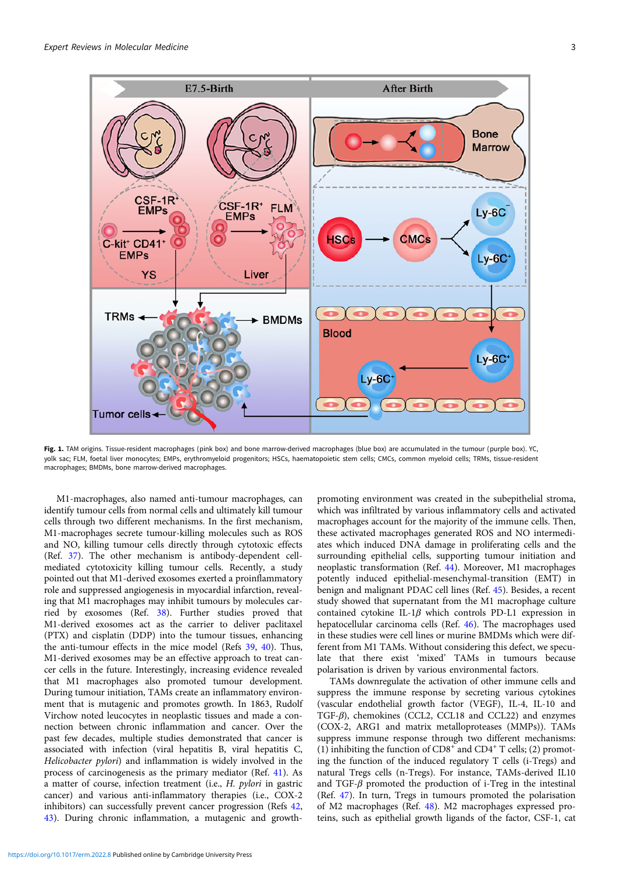<span id="page-2-0"></span>

Fig. 1. TAM origins. Tissue-resident macrophages (pink box) and bone marrow-derived macrophages (blue box) are accumulated in the tumour (purple box). YC, yolk sac; FLM, foetal liver monocytes; EMPs, erythromyeloid progenitors; HSCs, haematopoietic stem cells; CMCs, common myeloid cells; TRMs, tissue-resident macrophages; BMDMs, bone marrow-derived macrophages.

M1-macrophages, also named anti-tumour macrophages, can identify tumour cells from normal cells and ultimately kill tumour cells through two different mechanisms. In the first mechanism, M1-macrophages secrete tumour-killing molecules such as ROS and NO, killing tumour cells directly through cytotoxic effects (Ref. [37](#page-9-0)). The other mechanism is antibody-dependent cellmediated cytotoxicity killing tumour cells. Recently, a study pointed out that M1-derived exosomes exerted a proinflammatory role and suppressed angiogenesis in myocardial infarction, revealing that M1 macrophages may inhibit tumours by molecules carried by exosomes (Ref. [38](#page-9-0)). Further studies proved that M1-derived exosomes act as the carrier to deliver paclitaxel (PTX) and cisplatin (DDP) into the tumour tissues, enhancing the anti-tumour effects in the mice model (Refs [39](#page-9-0), [40](#page-9-0)). Thus, M1-derived exosomes may be an effective approach to treat cancer cells in the future. Interestingly, increasing evidence revealed that M1 macrophages also promoted tumour development. During tumour initiation, TAMs create an inflammatory environment that is mutagenic and promotes growth. In 1863, Rudolf Virchow noted leucocytes in neoplastic tissues and made a connection between chronic inflammation and cancer. Over the past few decades, multiple studies demonstrated that cancer is associated with infection (viral hepatitis B, viral hepatitis C, Helicobacter pylori) and inflammation is widely involved in the process of carcinogenesis as the primary mediator (Ref. [41\)](#page-9-0). As a matter of course, infection treatment (i.e., H. pylori in gastric cancer) and various anti-inflammatory therapies (i.e., COX-2 inhibitors) can successfully prevent cancer progression (Refs [42,](#page-9-0) [43\)](#page-9-0). During chronic inflammation, a mutagenic and growth-

promoting environment was created in the subepithelial stroma, which was infiltrated by various inflammatory cells and activated macrophages account for the majority of the immune cells. Then, these activated macrophages generated ROS and NO intermediates which induced DNA damage in proliferating cells and the surrounding epithelial cells, supporting tumour initiation and neoplastic transformation (Ref. [44](#page-9-0)). Moreover, M1 macrophages potently induced epithelial-mesenchymal-transition (EMT) in benign and malignant PDAC cell lines (Ref. [45](#page-9-0)). Besides, a recent study showed that supernatant from the M1 macrophage culture contained cytokine IL-1 $\beta$  which controls PD-L1 expression in hepatocellular carcinoma cells (Ref. [46\)](#page-9-0). The macrophages used in these studies were cell lines or murine BMDMs which were different from M1 TAMs. Without considering this defect, we speculate that there exist 'mixed' TAMs in tumours because polarisation is driven by various environmental factors.

TAMs downregulate the activation of other immune cells and suppress the immune response by secreting various cytokines (vascular endothelial growth factor (VEGF), IL-4, IL-10 and TGF-β), chemokines (CCL2, CCL18 and CCL22) and enzymes (COX-2, ARG1 and matrix metalloproteases (MMPs)). TAMs suppress immune response through two different mechanisms: (1) inhibiting the function of  $CD8^+$  and  $CD4^+$  T cells; (2) promoting the function of the induced regulatory T cells (i-Tregs) and natural Tregs cells (n-Tregs). For instance, TAMs-derived IL10 and TGF- $\beta$  promoted the production of i-Treg in the intestinal (Ref. [47\)](#page-10-0). In turn, Tregs in tumours promoted the polarisation of M2 macrophages (Ref. [48](#page-10-0)). M2 macrophages expressed proteins, such as epithelial growth ligands of the factor, CSF-1, cat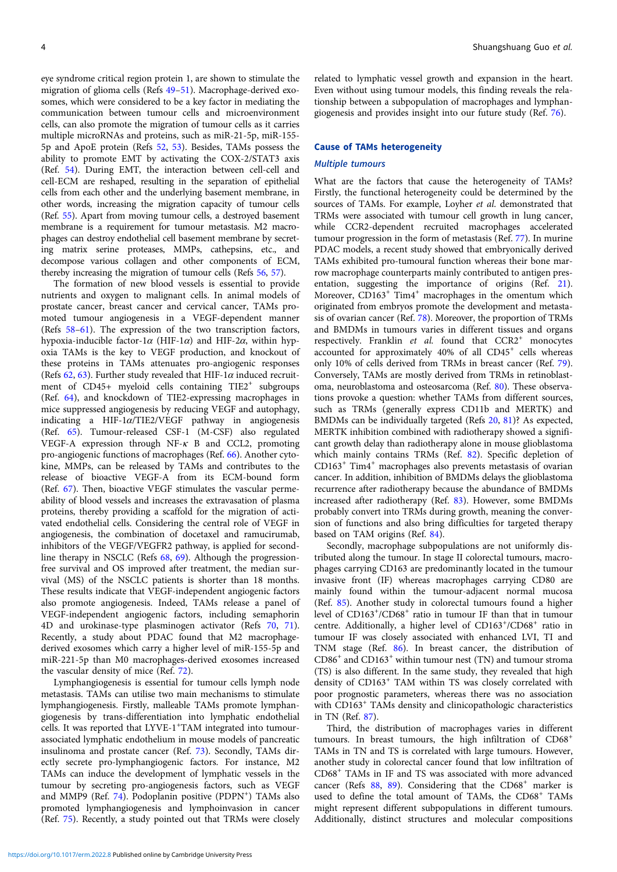eye syndrome critical region protein 1, are shown to stimulate the migration of glioma cells (Refs [49](#page-10-0)–[51](#page-10-0)). Macrophage-derived exosomes, which were considered to be a key factor in mediating the communication between tumour cells and microenvironment cells, can also promote the migration of tumour cells as it carries multiple microRNAs and proteins, such as miR-21-5p, miR-155- 5p and ApoE protein (Refs [52](#page-10-0), [53](#page-10-0)). Besides, TAMs possess the ability to promote EMT by activating the COX-2/STAT3 axis (Ref. [54\)](#page-10-0). During EMT, the interaction between cell-cell and cell-ECM are reshaped, resulting in the separation of epithelial cells from each other and the underlying basement membrane, in other words, increasing the migration capacity of tumour cells (Ref. [55](#page-10-0)). Apart from moving tumour cells, a destroyed basement membrane is a requirement for tumour metastasis. M2 macrophages can destroy endothelial cell basement membrane by secreting matrix serine proteases, MMPs, cathepsins, etc., and decompose various collagen and other components of ECM, thereby increasing the migration of tumour cells (Refs [56](#page-10-0), [57\)](#page-10-0).

The formation of new blood vessels is essential to provide nutrients and oxygen to malignant cells. In animal models of prostate cancer, breast cancer and cervical cancer, TAMs promoted tumour angiogenesis in a VEGF-dependent manner (Refs [58](#page-10-0)–[61\)](#page-10-0). The expression of the two transcription factors, hypoxia-inducible factor-1 $\alpha$  (HIF-1 $\alpha$ ) and HIF-2 $\alpha$ , within hypoxia TAMs is the key to VEGF production, and knockout of these proteins in TAMs attenuates pro-angiogenic responses (Refs  $62, 63$  $62, 63$  $62, 63$ ). Further study revealed that HIF-1 $\alpha$  induced recruitment of  $CD45+$  myeloid cells containing  $TIE2^+$  subgroups (Ref. [64](#page-10-0)), and knockdown of TIE2-expressing macrophages in mice suppressed angiogenesis by reducing VEGF and autophagy, indicating a HIF-1α/TIE2/VEGF pathway in angiogenesis (Ref. [65](#page-10-0)). Tumour-released CSF-1 (M-CSF) also regulated VEGF-A expression through NF-κ B and CCL2, promoting pro-angiogenic functions of macrophages (Ref. [66](#page-10-0)). Another cytokine, MMPs, can be released by TAMs and contributes to the release of bioactive VEGF-A from its ECM-bound form (Ref. [67](#page-10-0)). Then, bioactive VEGF stimulates the vascular permeability of blood vessels and increases the extravasation of plasma proteins, thereby providing a scaffold for the migration of activated endothelial cells. Considering the central role of VEGF in angiogenesis, the combination of docetaxel and ramucirumab, inhibitors of the VEGF/VEGFR2 pathway, is applied for secondline therapy in NSCLC (Refs [68](#page-10-0), [69\)](#page-10-0). Although the progressionfree survival and OS improved after treatment, the median survival (MS) of the NSCLC patients is shorter than 18 months. These results indicate that VEGF-independent angiogenic factors also promote angiogenesis. Indeed, TAMs release a panel of VEGF-independent angiogenic factors, including semaphorin 4D and urokinase-type plasminogen activator (Refs [70,](#page-10-0) [71\)](#page-10-0). Recently, a study about PDAC found that M2 macrophagederived exosomes which carry a higher level of miR-155-5p and miR-221-5p than M0 macrophages-derived exosomes increased the vascular density of mice (Ref. [72](#page-10-0)).

Lymphangiogenesis is essential for tumour cells lymph node metastasis. TAMs can utilise two main mechanisms to stimulate lymphangiogenesis. Firstly, malleable TAMs promote lymphangiogenesis by trans-differentiation into lymphatic endothelial cells. It was reported that LYVE-1<sup>+</sup>TAM integrated into tumourassociated lymphatic endothelium in mouse models of pancreatic insulinoma and prostate cancer (Ref. [73\)](#page-10-0). Secondly, TAMs directly secrete pro-lymphangiogenic factors. For instance, M2 TAMs can induce the development of lymphatic vessels in the tumour by secreting pro-angiogenesis factors, such as VEGF and MMP9 (Ref. [74\)](#page-10-0). Podoplanin positive (PDPN<sup>+</sup>) TAMs also promoted lymphangiogenesis and lymphoinvasion in cancer (Ref. [75](#page-10-0)). Recently, a study pointed out that TRMs were closely related to lymphatic vessel growth and expansion in the heart. Even without using tumour models, this finding reveals the relationship between a subpopulation of macrophages and lymphangiogenesis and provides insight into our future study (Ref. [76\)](#page-10-0).

#### Cause of TAMs heterogeneity

#### Multiple tumours

What are the factors that cause the heterogeneity of TAMs? Firstly, the functional heterogeneity could be determined by the sources of TAMs. For example, Loyher et al. demonstrated that TRMs were associated with tumour cell growth in lung cancer, while CCR2-dependent recruited macrophages accelerated tumour progression in the form of metastasis (Ref. [77](#page-10-0)). In murine PDAC models, a recent study showed that embryonically derived TAMs exhibited pro-tumoural function whereas their bone marrow macrophage counterparts mainly contributed to antigen presentation, suggesting the importance of origins (Ref. [21](#page-9-0)). Moreover, CD163<sup>+</sup> Tim4<sup>+</sup> macrophages in the omentum which originated from embryos promote the development and metastasis of ovarian cancer (Ref. [78](#page-10-0)). Moreover, the proportion of TRMs and BMDMs in tumours varies in different tissues and organs respectively. Franklin et al. found that  $CCR2^+$  monocytes accounted for approximately  $40\%$  of all  $CD45<sup>+</sup>$  cells whereas only 10% of cells derived from TRMs in breast cancer (Ref. [79](#page-10-0)). Conversely, TAMs are mostly derived from TRMs in retinoblastoma, neuroblastoma and osteosarcoma (Ref. [80](#page-10-0)). These observations provoke a question: whether TAMs from different sources, such as TRMs (generally express CD11b and MERTK) and BMDMs can be individually targeted (Refs [20,](#page-9-0) [81\)](#page-10-0)? As expected, MERTK inhibition combined with radiotherapy showed a significant growth delay than radiotherapy alone in mouse glioblastoma which mainly contains TRMs (Ref. [82](#page-10-0)). Specific depletion of CD163<sup>+</sup> Tim4<sup>+</sup> macrophages also prevents metastasis of ovarian cancer. In addition, inhibition of BMDMs delays the glioblastoma recurrence after radiotherapy because the abundance of BMDMs increased after radiotherapy (Ref. [83\)](#page-10-0). However, some BMDMs probably convert into TRMs during growth, meaning the conversion of functions and also bring difficulties for targeted therapy based on TAM origins (Ref. [84\)](#page-10-0).

Secondly, macrophage subpopulations are not uniformly distributed along the tumour. In stage II colorectal tumours, macrophages carrying CD163 are predominantly located in the tumour invasive front (IF) whereas macrophages carrying CD80 are mainly found within the tumour-adjacent normal mucosa (Ref. [85](#page-10-0)). Another study in colorectal tumours found a higher level of CD163<sup>+</sup>/CD68<sup>+</sup> ratio in tumour IF than that in tumour centre. Additionally, a higher level of CD163+/CD68<sup>+</sup> ratio in tumour IF was closely associated with enhanced LVI, TI and TNM stage (Ref. [86\)](#page-10-0). In breast cancer, the distribution of  $\mathrm{CD}86^+$  and  $\mathrm{CD}163^+$  within tumour nest (TN) and tumour stroma (TS) is also different. In the same study, they revealed that high density of CD163<sup>+</sup> TAM within TS was closely correlated with poor prognostic parameters, whereas there was no association with CD163<sup>+</sup> TAMs density and clinicopathologic characteristics in TN (Ref. [87](#page-10-0)).

Third, the distribution of macrophages varies in different tumours. In breast tumours, the high infiltration of CD68<sup>+</sup> TAMs in TN and TS is correlated with large tumours. However, another study in colorectal cancer found that low infiltration of CD68<sup>+</sup> TAMs in IF and TS was associated with more advanced cancer (Refs  $88$ ,  $89$ ). Considering that the CD68<sup>+</sup> marker is used to define the total amount of TAMs, the CD68<sup>+</sup> TAMs might represent different subpopulations in different tumours. Additionally, distinct structures and molecular compositions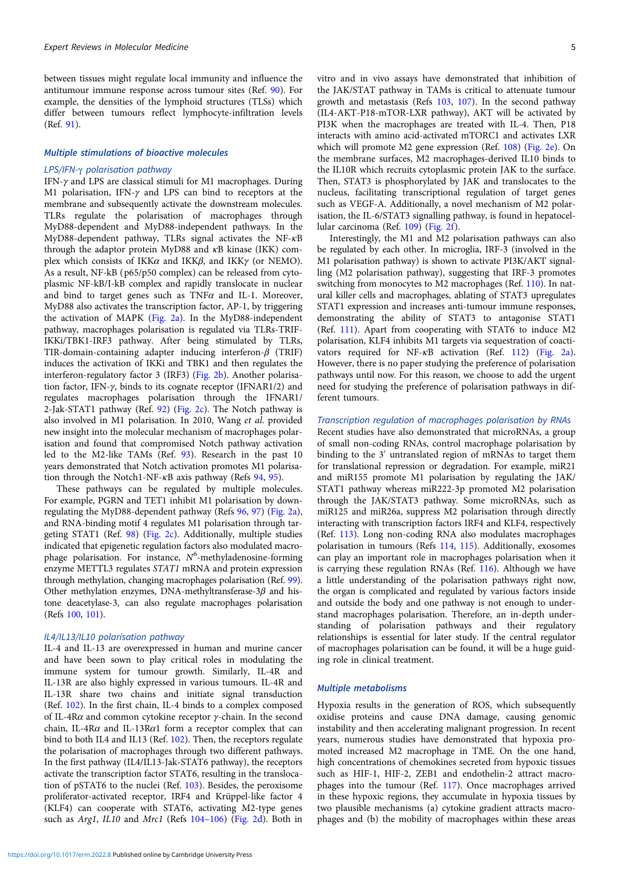between tissues might regulate local immunity and influence the antitumour immune response across tumour sites (Ref. [90](#page-10-0)). For example, the densities of the lymphoid structures (TLSs) which differ between tumours reflect lymphocyte-infiltration levels (Ref. [91\)](#page-10-0).

#### Multiple stimulations of bioactive molecules

#### LPS/IFN-γ polarisation pathway

IFN-γ and LPS are classical stimuli for M1 macrophages. During M1 polarisation, IFN-γ and LPS can bind to receptors at the membrane and subsequently activate the downstream molecules. TLRs regulate the polarisation of macrophages through MyD88-dependent and MyD88-independent pathways. In the MyD88-dependent pathway, TLRs signal activates the NF-κB through the adaptor protein MyD88 and κB kinase (IKK) complex which consists of IKK $\alpha$  and IKK $\beta$ , and IKK $\gamma$  (or NEMO). As a result, NF-kB (p65/p50 complex) can be released from cytoplasmic NF-kB/I-kB complex and rapidly translocate in nuclear and bind to target genes such as  $TNF\alpha$  and IL-1. Moreover, MyD88 also activates the transcription factor, AP-1, by triggering the activation of MAPK [\(Fig. 2a](#page-5-0)). In the MyD88-independent pathway, macrophages polarisation is regulated via TLRs-TRIF-IKKi/TBK1-IRF3 pathway. After being stimulated by TLRs, TIR-domain-containing adapter inducing interferon-β (TRIF) induces the activation of IKKi and TBK1 and then regulates the interferon-regulatory factor 3 (IRF3) [\(Fig. 2b](#page-5-0)). Another polarisation factor, IFN- $\gamma$ , binds to its cognate receptor (IFNAR1/2) and regulates macrophages polarisation through the IFNAR1/ 2-Jak-STAT1 pathway (Ref. [92\)](#page-10-0) ([Fig. 2c\)](#page-5-0). The Notch pathway is also involved in M1 polarisation. In 2010, Wang et al. provided new insight into the molecular mechanism of macrophages polarisation and found that compromised Notch pathway activation led to the M2-like TAMs (Ref. [93\)](#page-10-0). Research in the past 10 years demonstrated that Notch activation promotes M1 polarisation through the Notch1-NF- $\kappa$ B axis pathway (Refs [94](#page-10-0), [95](#page-10-0)).

These pathways can be regulated by multiple molecules. For example, PGRN and TET1 inhibit M1 polarisation by downregulating the MyD88-dependent pathway (Refs [96,](#page-10-0) [97\)](#page-10-0) [\(Fig. 2a\)](#page-5-0), and RNA-binding motif 4 regulates M1 polarisation through targeting STAT1 (Ref. [98\)](#page-10-0) [\(Fig. 2c\)](#page-5-0). Additionally, multiple studies indicated that epigenetic regulation factors also modulated macrophage polarisation. For instance,  $N^6$ -methyladenosine-forming enzyme METTL3 regulates STAT1 mRNA and protein expression through methylation, changing macrophages polarisation (Ref. [99\)](#page-11-0). Other methylation enzymes, DNA-methyltransferase- $3\beta$  and histone deacetylase-3, can also regulate macrophages polarisation (Refs [100,](#page-11-0) [101](#page-11-0)).

# IL4/IL13/IL10 polarisation pathway

IL-4 and IL-13 are overexpressed in human and murine cancer and have been sown to play critical roles in modulating the immune system for tumour growth. Similarly, IL-4R and IL-13R are also highly expressed in various tumours. IL-4R and IL-13R share two chains and initiate signal transduction (Ref. [102](#page-11-0)). In the first chain, IL-4 binds to a complex composed of IL-4R $\alpha$  and common cytokine receptor  $\gamma$ -chain. In the second chain, IL-4R $\alpha$  and IL-13R $\alpha$ 1 form a receptor complex that can bind to both IL4 and IL13 (Ref. [102](#page-11-0)). Then, the receptors regulate the polarisation of macrophages through two different pathways. In the first pathway (IL4/IL13-Jak-STAT6 pathway), the receptors activate the transcription factor STAT6, resulting in the translocation of pSTAT6 to the nuclei (Ref. [103\)](#page-11-0). Besides, the peroxisome proliferator-activated receptor, IRF4 and Krüppel-like factor 4 (KLF4) can cooperate with STAT6, activating M2-type genes such as Arg1, IL10 and Mrc1 (Refs [104](#page-11-0)–[106](#page-11-0)) [\(Fig. 2d](#page-5-0)). Both in

vitro and in vivo assays have demonstrated that inhibition of the JAK/STAT pathway in TAMs is critical to attenuate tumour growth and metastasis (Refs [103](#page-11-0), [107](#page-11-0)). In the second pathway (IL4-AKT-P18-mTOR-LXR pathway), AKT will be activated by PI3K when the macrophages are treated with IL-4. Then, P18 interacts with amino acid-activated mTORC1 and activates LXR which will promote M2 gene expression (Ref. [108](#page-11-0)) [\(Fig. 2e\)](#page-5-0). On the membrane surfaces, M2 macrophages-derived IL10 binds to the IL10R which recruits cytoplasmic protein JAK to the surface. Then, STAT3 is phosphorylated by JAK and translocates to the nucleus, facilitating transcriptional regulation of target genes such as VEGF-A. Additionally, a novel mechanism of M2 polarisation, the IL-6/STAT3 signalling pathway, is found in hepatocellular carcinoma (Ref. [109\)](#page-11-0) ([Fig. 2f](#page-5-0)).

Interestingly, the M1 and M2 polarisation pathways can also be regulated by each other. In microglia, IRF-3 (involved in the M1 polarisation pathway) is shown to activate PI3K/AKT signalling (M2 polarisation pathway), suggesting that IRF-3 promotes switching from monocytes to M2 macrophages (Ref. [110](#page-11-0)). In natural killer cells and macrophages, ablating of STAT3 upregulates STAT1 expression and increases anti-tumour immune responses, demonstrating the ability of STAT3 to antagonise STAT1 (Ref. [111\)](#page-11-0). Apart from cooperating with STAT6 to induce M2 polarisation, KLF4 inhibits M1 targets via sequestration of coactivators required for NF-κB activation (Ref. [112](#page-11-0)) ([Fig. 2a](#page-5-0)). However, there is no paper studying the preference of polarisation pathways until now. For this reason, we choose to add the urgent need for studying the preference of polarisation pathways in different tumours.

#### Transcription regulation of macrophages polarisation by RNAs

Recent studies have also demonstrated that microRNAs, a group of small non-coding RNAs, control macrophage polarisation by binding to the 3′ untranslated region of mRNAs to target them for translational repression or degradation. For example, miR21 and miR155 promote M1 polarisation by regulating the JAK/ STAT1 pathway whereas miR222-3p promoted M2 polarisation through the JAK/STAT3 pathway. Some microRNAs, such as miR125 and miR26a, suppress M2 polarisation through directly interacting with transcription factors IRF4 and KLF4, respectively (Ref. [113](#page-11-0)). Long non-coding RNA also modulates macrophages polarisation in tumours (Refs [114](#page-11-0), [115](#page-11-0)). Additionally, exosomes can play an important role in macrophages polarisation when it is carrying these regulation RNAs (Ref. [116](#page-11-0)). Although we have a little understanding of the polarisation pathways right now, the organ is complicated and regulated by various factors inside and outside the body and one pathway is not enough to understand macrophages polarisation. Therefore, an in-depth understanding of polarisation pathways and their regulatory relationships is essential for later study. If the central regulator of macrophages polarisation can be found, it will be a huge guiding role in clinical treatment.

# Multiple metabolisms

Hypoxia results in the generation of ROS, which subsequently oxidise proteins and cause DNA damage, causing genomic instability and then accelerating malignant progression. In recent years, numerous studies have demonstrated that hypoxia promoted increased M2 macrophage in TME. On the one hand, high concentrations of chemokines secreted from hypoxic tissues such as HIF-1, HIF-2, ZEB1 and endothelin-2 attract macrophages into the tumour (Ref. [117\)](#page-11-0). Once macrophages arrived in these hypoxic regions, they accumulate in hypoxia tissues by two plausible mechanisms (a) cytokine gradient attracts macrophages and (b) the mobility of macrophages within these areas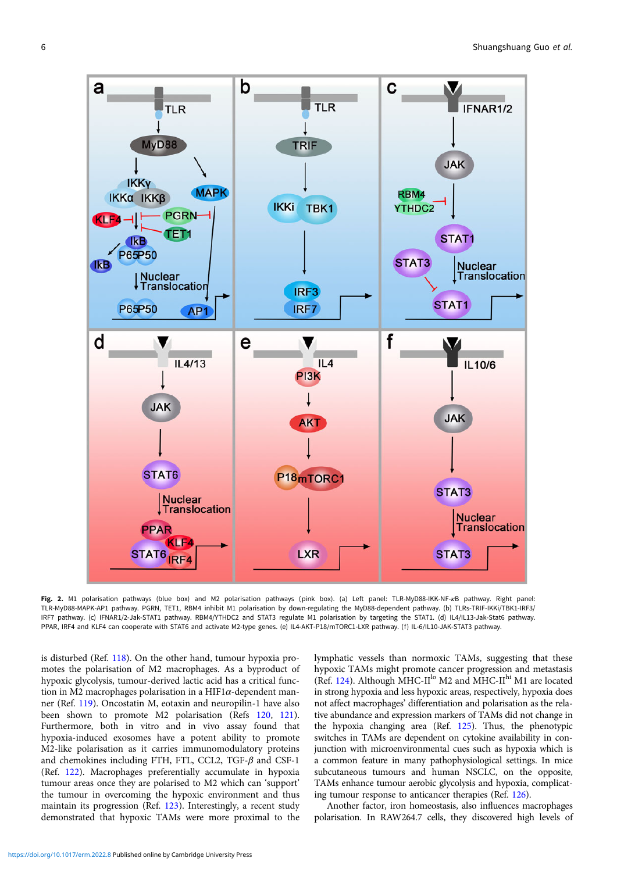<span id="page-5-0"></span>

Fig. 2. M1 polarisation pathways (blue box) and M2 polarisation pathways (pink box). (a) Left panel: TLR-MyD88-IKK-NF-xB pathway. Right panel: TLR-MyD88-MAPK-AP1 pathway. PGRN, TET1, RBM4 inhibit M1 polarisation by down-regulating the MyD88-dependent pathway. (b) TLRs-TRIF-IKKi/TBK1-IRF3/ IRF7 pathway. (c) IFNAR1/2-Jak-STAT1 pathway. RBM4/YTHDC2 and STAT3 regulate M1 polarisation by targeting the STAT1. (d) IL4/IL13-Jak-Stat6 pathway. PPAR, IRF4 and KLF4 can cooperate with STAT6 and activate M2-type genes. (e) IL4-AKT-P18/mTORC1-LXR pathway. (f) IL-6/IL10-JAK-STAT3 pathway.

is disturbed (Ref. [118\)](#page-11-0). On the other hand, tumour hypoxia promotes the polarisation of M2 macrophages. As a byproduct of hypoxic glycolysis, tumour-derived lactic acid has a critical function in M2 macrophages polarisation in a HIF1 $\alpha$ -dependent manner (Ref. [119\)](#page-11-0). Oncostatin M, eotaxin and neuropilin-1 have also been shown to promote M2 polarisation (Refs [120](#page-11-0), [121\)](#page-11-0). Furthermore, both in vitro and in vivo assay found that hypoxia-induced exosomes have a potent ability to promote M2-like polarisation as it carries immunomodulatory proteins and chemokines including FTH, FTL, CCL2, TGF- $\beta$  and CSF-1 (Ref. [122](#page-11-0)). Macrophages preferentially accumulate in hypoxia tumour areas once they are polarised to M2 which can 'support' the tumour in overcoming the hypoxic environment and thus maintain its progression (Ref. [123](#page-11-0)). Interestingly, a recent study demonstrated that hypoxic TAMs were more proximal to the

lymphatic vessels than normoxic TAMs, suggesting that these hypoxic TAMs might promote cancer progression and metastasis (Ref. [124](#page-11-0)). Although MHC-II<sup>lo</sup> M2 and MHC-II<sup>hi</sup> M1 are located in strong hypoxia and less hypoxic areas, respectively, hypoxia does not affect macrophages' differentiation and polarisation as the relative abundance and expression markers of TAMs did not change in the hypoxia changing area (Ref. [125\)](#page-11-0). Thus, the phenotypic switches in TAMs are dependent on cytokine availability in conjunction with microenvironmental cues such as hypoxia which is a common feature in many pathophysiological settings. In mice subcutaneous tumours and human NSCLC, on the opposite, TAMs enhance tumour aerobic glycolysis and hypoxia, complicating tumour response to anticancer therapies (Ref. [126](#page-11-0)).

Another factor, iron homeostasis, also influences macrophages polarisation. In RAW264.7 cells, they discovered high levels of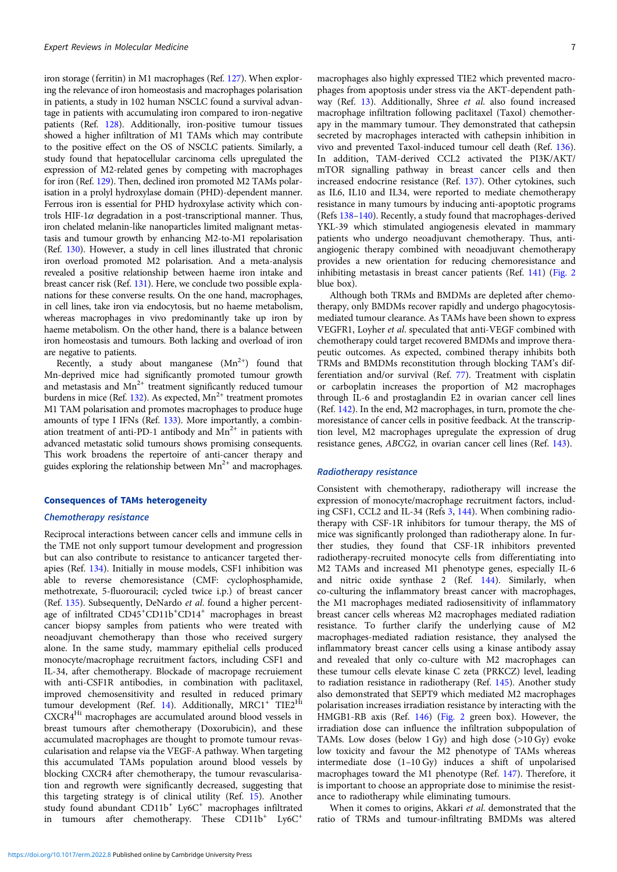iron storage (ferritin) in M1 macrophages (Ref. [127\)](#page-11-0). When exploring the relevance of iron homeostasis and macrophages polarisation in patients, a study in 102 human NSCLC found a survival advantage in patients with accumulating iron compared to iron-negative patients (Ref. [128\)](#page-11-0). Additionally, iron-positive tumour tissues showed a higher infiltration of M1 TAMs which may contribute to the positive effect on the OS of NSCLC patients. Similarly, a study found that hepatocellular carcinoma cells upregulated the expression of M2-related genes by competing with macrophages for iron (Ref. [129](#page-11-0)). Then, declined iron promoted M2 TAMs polarisation in a prolyl hydroxylase domain (PHD)-dependent manner. Ferrous iron is essential for PHD hydroxylase activity which controls HIF-1 $\alpha$  degradation in a post-transcriptional manner. Thus, iron chelated melanin-like nanoparticles limited malignant metastasis and tumour growth by enhancing M2-to-M1 repolarisation (Ref. [130](#page-11-0)). However, a study in cell lines illustrated that chronic iron overload promoted M2 polarisation. And a meta-analysis revealed a positive relationship between haeme iron intake and breast cancer risk (Ref. [131\)](#page-11-0). Here, we conclude two possible explanations for these converse results. On the one hand, macrophages, in cell lines, take iron via endocytosis, but no haeme metabolism, whereas macrophages in vivo predominantly take up iron by haeme metabolism. On the other hand, there is a balance between iron homeostasis and tumours. Both lacking and overload of iron are negative to patients.

Recently, a study about manganese  $(Mn^{2+})$  found that Mn-deprived mice had significantly promoted tumour growth and metastasis and  $Mn^{2+}$  treatment significantly reduced tumour burdens in mice (Ref. [132\)](#page-11-0). As expected,  $Mn^{2+}$  treatment promotes M1 TAM polarisation and promotes macrophages to produce huge amounts of type I IFNs (Ref. [133](#page-11-0)). More importantly, a combination treatment of anti-PD-1 antibody and  $Mn^{2+}$  in patients with advanced metastatic solid tumours shows promising consequents. This work broadens the repertoire of anti-cancer therapy and guides exploring the relationship between  $Mn^{2+}$  and macrophages.

#### Consequences of TAMs heterogeneity

# Chemotherapy resistance

Reciprocal interactions between cancer cells and immune cells in the TME not only support tumour development and progression but can also contribute to resistance to anticancer targeted therapies (Ref. [134\)](#page-11-0). Initially in mouse models, CSF1 inhibition was able to reverse chemoresistance (CMF: cyclophosphamide, methotrexate, 5-fluorouracil; cycled twice i.p.) of breast cancer (Ref. [135\)](#page-11-0). Subsequently, DeNardo et al. found a higher percentage of infiltrated CD45<sup>+</sup>CD11b<sup>+</sup>CD14<sup>+</sup> macrophages in breast cancer biopsy samples from patients who were treated with neoadjuvant chemotherapy than those who received surgery alone. In the same study, mammary epithelial cells produced monocyte/macrophage recruitment factors, including CSF1 and IL-34, after chemotherapy. Blockade of macropage recruiement with anti-CSF1R antibodies, in combination with paclitaxel, improved chemosensitivity and resulted in reduced primary tumour development (Ref. [14\)](#page-9-0). Additionally,  $MRCI<sup>+</sup> TIE2<sup>Hi</sup>$ CXCR4Hi macrophages are accumulated around blood vessels in breast tumours after chemotherapy (Doxorubicin), and these accumulated macrophages are thought to promote tumour revascularisation and relapse via the VEGF-A pathway. When targeting this accumulated TAMs population around blood vessels by blocking CXCR4 after chemotherapy, the tumour revascularisation and regrowth were significantly decreased, suggesting that this targeting strategy is of clinical utility (Ref. [15\)](#page-9-0). Another study found abundant CD11b<sup>+</sup> Ly6C<sup>+</sup> macrophages infiltrated in tumours after chemotherapy. These CD11b<sup>+</sup> Ly6C<sup>+</sup>

macrophages also highly expressed TIE2 which prevented macrophages from apoptosis under stress via the AKT-dependent pathway (Ref. [13](#page-9-0)). Additionally, Shree et al. also found increased macrophage infiltration following paclitaxel (Taxol) chemotherapy in the mammary tumour. They demonstrated that cathepsin secreted by macrophages interacted with cathepsin inhibition in vivo and prevented Taxol-induced tumour cell death (Ref. [136](#page-11-0)). In addition, TAM-derived CCL2 activated the PI3K/AKT/ mTOR signalling pathway in breast cancer cells and then increased endocrine resistance (Ref. [137\)](#page-11-0). Other cytokines, such as IL6, IL10 and IL34, were reported to mediate chemotherapy resistance in many tumours by inducing anti-apoptotic programs (Refs [138](#page-11-0)–[140\)](#page-11-0). Recently, a study found that macrophages-derived YKL-39 which stimulated angiogenesis elevated in mammary patients who undergo neoadjuvant chemotherapy. Thus, antiangiogenic therapy combined with neoadjuvant chemotherapy provides a new orientation for reducing chemoresistance and inhibiting metastasis in breast cancer patients (Ref. [141](#page-11-0)) [\(Fig. 2](#page-5-0) blue box).

Although both TRMs and BMDMs are depleted after chemotherapy, only BMDMs recover rapidly and undergo phagocytosismediated tumour clearance. As TAMs have been shown to express VEGFR1, Loyher et al. speculated that anti-VEGF combined with chemotherapy could target recovered BMDMs and improve therapeutic outcomes. As expected, combined therapy inhibits both TRMs and BMDMs reconstitution through blocking TAM's differentiation and/or survival (Ref. [77](#page-10-0)). Treatment with cisplatin or carboplatin increases the proportion of M2 macrophages through IL-6 and prostaglandin E2 in ovarian cancer cell lines (Ref. [142\)](#page-11-0). In the end, M2 macrophages, in turn, promote the chemoresistance of cancer cells in positive feedback. At the transcription level, M2 macrophages upregulate the expression of drug resistance genes, ABCG2, in ovarian cancer cell lines (Ref. [143\)](#page-11-0).

# Radiotherapy resistance

Consistent with chemotherapy, radiotherapy will increase the expression of monocyte/macrophage recruitment factors, including CSF1, CCL2 and IL-34 (Refs [3,](#page-9-0) [144](#page-11-0)). When combining radiotherapy with CSF-1R inhibitors for tumour therapy, the MS of mice was significantly prolonged than radiotherapy alone. In further studies, they found that CSF-1R inhibitors prevented radiotherapy-recruited monocyte cells from differentiating into M2 TAMs and increased M1 phenotype genes, especially IL-6 and nitric oxide synthase 2 (Ref. [144\)](#page-11-0). Similarly, when co-culturing the inflammatory breast cancer with macrophages, the M1 macrophages mediated radiosensitivity of inflammatory breast cancer cells whereas M2 macrophages mediated radiation resistance. To further clarify the underlying cause of M2 macrophages-mediated radiation resistance, they analysed the inflammatory breast cancer cells using a kinase antibody assay and revealed that only co-culture with M2 macrophages can these tumour cells elevate kinase C zeta (PRKCZ) level, leading to radiation resistance in radiotherapy (Ref. [145](#page-11-0)). Another study also demonstrated that SEPT9 which mediated M2 macrophages polarisation increases irradiation resistance by interacting with the HMGB1-RB axis (Ref. [146\)](#page-11-0) [\(Fig. 2](#page-5-0) green box). However, the irradiation dose can influence the infiltration subpopulation of TAMs. Low doses (below 1 Gy) and high dose (>10 Gy) evoke low toxicity and favour the M2 phenotype of TAMs whereas intermediate dose (1–10 Gy) induces a shift of unpolarised macrophages toward the M1 phenotype (Ref. [147](#page-11-0)). Therefore, it is important to choose an appropriate dose to minimise the resistance to radiotherapy while eliminating tumours.

When it comes to origins, Akkari et al. demonstrated that the ratio of TRMs and tumour-infiltrating BMDMs was altered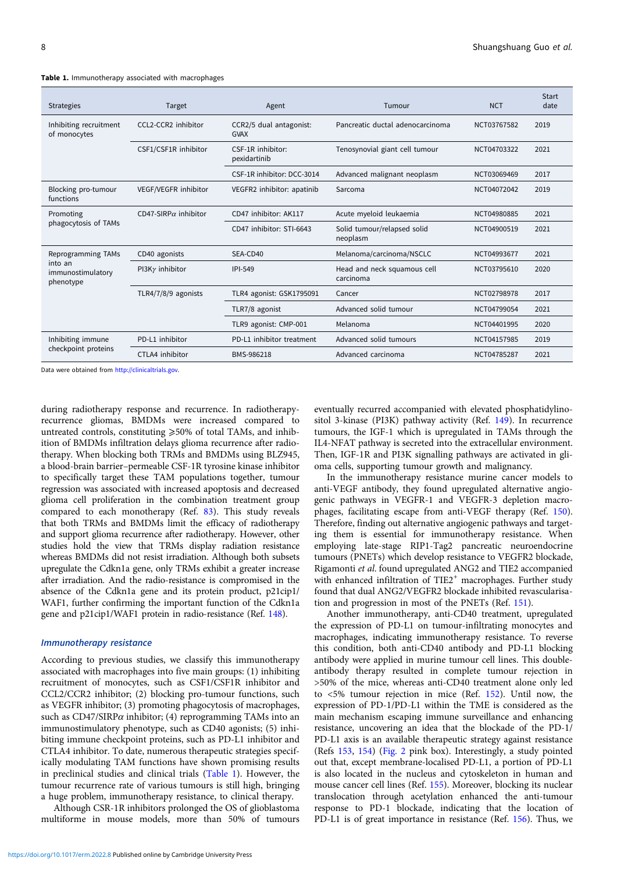| <b>Strategies</b>                                               | Target                       | Agent                                  | Tumour                                   | <b>NCT</b>  | Start<br>date |
|-----------------------------------------------------------------|------------------------------|----------------------------------------|------------------------------------------|-------------|---------------|
| Inhibiting recruitment<br>of monocytes                          | CCL2-CCR2 inhibitor          | CCR2/5 dual antagonist:<br><b>GVAX</b> | Pancreatic ductal adenocarcinoma         | NCT03767582 | 2019          |
|                                                                 | CSF1/CSF1R inhibitor         | CSF-1R inhibitor:<br>pexidartinib      | Tenosynovial giant cell tumour           | NCT04703322 | 2021          |
|                                                                 |                              | CSF-1R inhibitor: DCC-3014             | Advanced malignant neoplasm              | NCT03069469 | 2017          |
| Blocking pro-tumour<br>functions                                | VEGF/VEGFR inhibitor         | VEGFR2 inhibitor: apatinib             | Sarcoma                                  | NCT04072042 | 2019          |
| Promoting<br>phagocytosis of TAMs                               | CD47-SIRP $\alpha$ inhibitor | CD47 inhibitor: AK117                  | Acute myeloid leukaemia                  | NCT04980885 | 2021          |
|                                                                 |                              | CD47 inhibitor: STI-6643               | Solid tumour/relapsed solid<br>neoplasm  | NCT04900519 | 2021          |
| Reprogramming TAMs<br>into an<br>immunostimulatory<br>phenotype | CD40 agonists                | SEA-CD40                               | Melanoma/carcinoma/NSCLC                 | NCT04993677 | 2021          |
|                                                                 | PI3K $\gamma$ inhibitor      | <b>IPI-549</b>                         | Head and neck squamous cell<br>carcinoma | NCT03795610 | 2020          |
|                                                                 | TLR4/7/8/9 agonists          | TLR4 agonist: GSK1795091               | Cancer                                   | NCT02798978 | 2017          |
|                                                                 |                              | TLR7/8 agonist                         | Advanced solid tumour                    | NCT04799054 | 2021          |
|                                                                 |                              | TLR9 agonist: CMP-001                  | Melanoma                                 | NCT04401995 | 2020          |
| Inhibiting immune<br>checkpoint proteins                        | PD-L1 inhibitor              | PD-L1 inhibitor treatment              | Advanced solid tumours                   | NCT04157985 | 2019          |
|                                                                 | CTLA4 inhibitor              | BMS-986218                             | Advanced carcinoma                       | NCT04785287 | 2021          |

Table 1. Immunotherapy associated with macrophages

Data were obtained from [http://clinicaltrials.gov.](http://clinicaltrials.gov)

during radiotherapy response and recurrence. In radiotherapyrecurrence gliomas, BMDMs were increased compared to untreated controls, constituting  $\geq 50\%$  of total TAMs, and inhibition of BMDMs infiltration delays glioma recurrence after radiotherapy. When blocking both TRMs and BMDMs using BLZ945, a blood-brain barrier–permeable CSF-1R tyrosine kinase inhibitor to specifically target these TAM populations together, tumour regression was associated with increased apoptosis and decreased glioma cell proliferation in the combination treatment group compared to each monotherapy (Ref. [83\)](#page-10-0). This study reveals that both TRMs and BMDMs limit the efficacy of radiotherapy and support glioma recurrence after radiotherapy. However, other studies hold the view that TRMs display radiation resistance whereas BMDMs did not resist irradiation. Although both subsets upregulate the Cdkn1a gene, only TRMs exhibit a greater increase after irradiation. And the radio-resistance is compromised in the absence of the Cdkn1a gene and its protein product, p21cip1/ WAF1, further confirming the important function of the Cdkn1a gene and p21cip1/WAF1 protein in radio-resistance (Ref. [148](#page-11-0)).

# Immunotherapy resistance

According to previous studies, we classify this immunotherapy associated with macrophages into five main groups: (1) inhibiting recruitment of monocytes, such as CSF1/CSF1R inhibitor and CCL2/CCR2 inhibitor; (2) blocking pro-tumour functions, such as VEGFR inhibitor; (3) promoting phagocytosis of macrophages, such as CD47/SIRP $\alpha$  inhibitor; (4) reprogramming TAMs into an immunostimulatory phenotype, such as CD40 agonists; (5) inhibiting immune checkpoint proteins, such as PD-L1 inhibitor and CTLA4 inhibitor. To date, numerous therapeutic strategies specifically modulating TAM functions have shown promising results in preclinical studies and clinical trials (Table 1). However, the tumour recurrence rate of various tumours is still high, bringing a huge problem, immunotherapy resistance, to clinical therapy.

Although CSR-1R inhibitors prolonged the OS of glioblastoma multiforme in mouse models, more than 50% of tumours

<https://doi.org/10.1017/erm.2022.8> Published online by Cambridge University Press

eventually recurred accompanied with elevated phosphatidylinositol 3-kinase (PI3K) pathway activity (Ref. [149](#page-11-0)). In recurrence tumours, the IGF-1 which is upregulated in TAMs through the IL4-NFAT pathway is secreted into the extracellular environment. Then, IGF-1R and PI3K signalling pathways are activated in glioma cells, supporting tumour growth and malignancy.

In the immunotherapy resistance murine cancer models to anti-VEGF antibody, they found upregulated alternative angiogenic pathways in VEGFR-1 and VEGFR-3 depletion macrophages, facilitating escape from anti-VEGF therapy (Ref. [150](#page-12-0)). Therefore, finding out alternative angiogenic pathways and targeting them is essential for immunotherapy resistance. When employing late-stage RIP1-Tag2 pancreatic neuroendocrine tumours (PNETs) which develop resistance to VEGFR2 blockade, Rigamonti et al. found upregulated ANG2 and TIE2 accompanied with enhanced infiltration of TIE2<sup>+</sup> macrophages. Further study found that dual ANG2/VEGFR2 blockade inhibited revascularisation and progression in most of the PNETs (Ref. [151](#page-12-0)).

Another immunotherapy, anti-CD40 treatment, upregulated the expression of PD-L1 on tumour-infiltrating monocytes and macrophages, indicating immunotherapy resistance. To reverse this condition, both anti-CD40 antibody and PD-L1 blocking antibody were applied in murine tumour cell lines. This doubleantibody therapy resulted in complete tumour rejection in >50% of the mice, whereas anti-CD40 treatment alone only led to <5% tumour rejection in mice (Ref. [152](#page-12-0)). Until now, the expression of PD-1/PD-L1 within the TME is considered as the main mechanism escaping immune surveillance and enhancing resistance, uncovering an idea that the blockade of the PD-1/ PD-L1 axis is an available therapeutic strategy against resistance (Refs [153,](#page-12-0) [154](#page-12-0)) [\(Fig. 2](#page-5-0) pink box). Interestingly, a study pointed out that, except membrane-localised PD-L1, a portion of PD-L1 is also located in the nucleus and cytoskeleton in human and mouse cancer cell lines (Ref. [155](#page-12-0)). Moreover, blocking its nuclear translocation through acetylation enhanced the anti-tumour response to PD-1 blockade, indicating that the location of PD-L1 is of great importance in resistance (Ref. [156\)](#page-12-0). Thus, we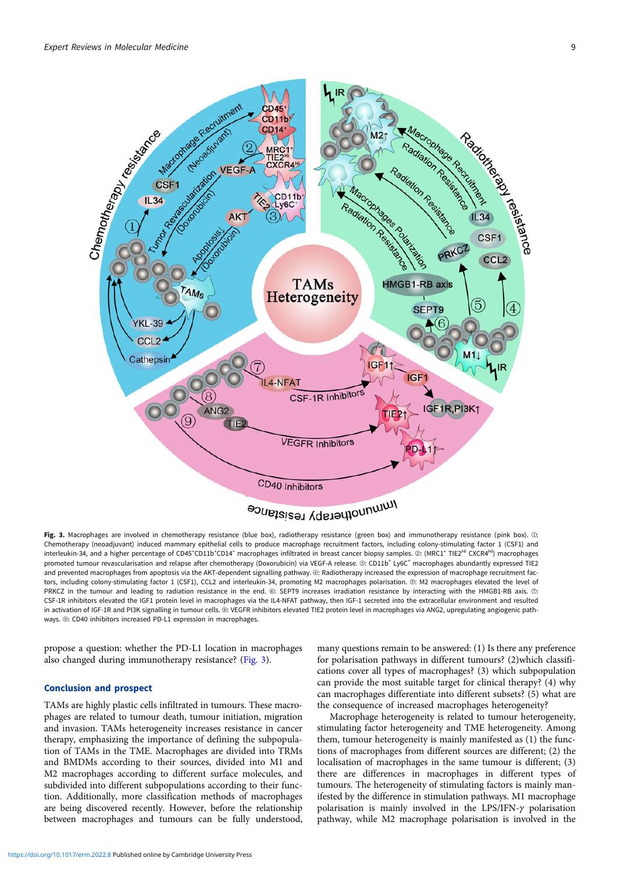

Fig. 3. Macrophages are involved in chemotherapy resistance (blue box), radiotherapy resistance (green box) and immunotherapy resistance (pink box). 10: Chemotherapy (neoadjuvant) induced mammary epithelial cells to produce macrophage recruitment factors, including colony-stimulating factor 1 (CSF1) and interleukin-34, and a higher percentage of CD45\*CD11b\*CD14\* macrophages infiltrated in breast cancer biopsy samples. ②: (MRC1\* TIE2<sup>Hi</sup> CXCR4<sup>Hi</sup>) macrophages promoted tumour revascularisation and relapse after chemotherapy (Doxorubicin) via VEGF-A release. ©: CD11b<sup>+</sup> Ly6C<sup>+</sup> macrophages abundantly expressed TIE2 and prevented macrophages from apoptosis via the AKT-dependent signalling pathway. @: Radiotherapy increased the expression of macrophage recruitment factors, including colony-stimulating factor 1 (CSF1), CCL2 and interleukin-34, promoting M2 macrophages polarisation. ⑤: M2 macrophages elevated the level of PRKCZ in the tumour and leading to radiation resistance in the end. ⑥: SEPT9 increases irradiation resistance by interacting with the HMGB1-RB axis. ⑦: CSF-1R inhibitors elevated the IGF1 protein level in macrophages via the IL4-NFAT pathway, then IGF-1 secreted into the extracellular environment and resulted in activation of IGF-1R and PI3K signalling in tumour cells. ⑧: VEGFR inhibitors elevated TIE2 protein level in macrophages via ANG2, upregulating angiogenic pathways. **@:** CD40 inhibitors increased PD-L1 expression in macrophages.

propose a question: whether the PD-L1 location in macrophages also changed during immunotherapy resistance? (Fig. 3).

# Conclusion and prospect

TAMs are highly plastic cells infiltrated in tumours. These macrophages are related to tumour death, tumour initiation, migration and invasion. TAMs heterogeneity increases resistance in cancer therapy, emphasizing the importance of defining the subpopulation of TAMs in the TME. Macrophages are divided into TRMs and BMDMs according to their sources, divided into M1 and M2 macrophages according to different surface molecules, and subdivided into different subpopulations according to their function. Additionally, more classification methods of macrophages are being discovered recently. However, before the relationship between macrophages and tumours can be fully understood,

many questions remain to be answered: (1) Is there any preference for polarisation pathways in different tumours? (2)which classifications cover all types of macrophages? (3) which subpopulation can provide the most suitable target for clinical therapy? (4) why can macrophages differentiate into different subsets? (5) what are the consequence of increased macrophages heterogeneity?

Macrophage heterogeneity is related to tumour heterogeneity, stimulating factor heterogeneity and TME heterogeneity. Among them, tumour heterogeneity is mainly manifested as (1) the functions of macrophages from different sources are different; (2) the localisation of macrophages in the same tumour is different; (3) there are differences in macrophages in different types of tumours. The heterogeneity of stimulating factors is mainly manifested by the difference in stimulation pathways. M1 macrophage polarisation is mainly involved in the LPS/IFN-γ polarisation pathway, while M2 macrophage polarisation is involved in the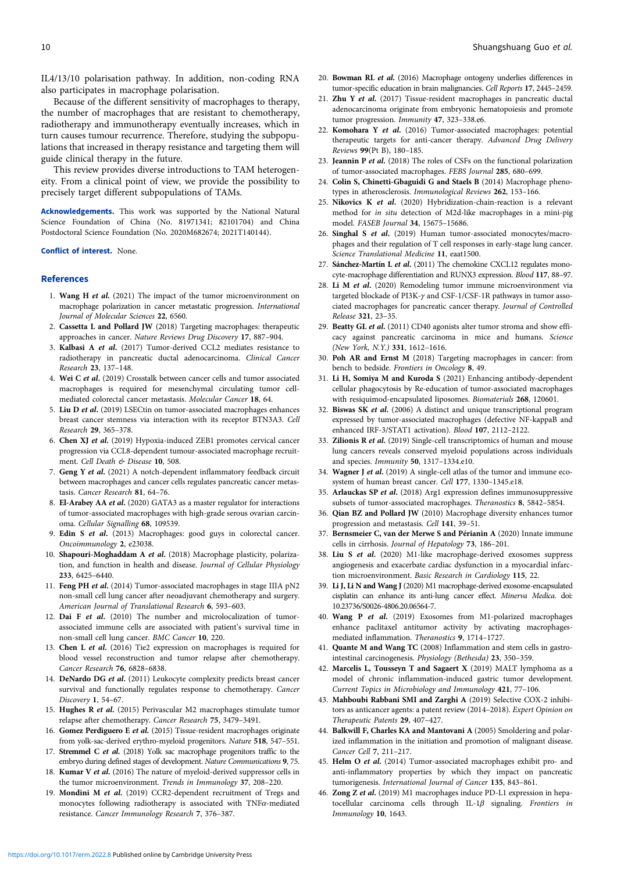<span id="page-9-0"></span>IL4/13/10 polarisation pathway. In addition, non-coding RNA also participates in macrophage polarisation.

Because of the different sensitivity of macrophages to therapy, the number of macrophages that are resistant to chemotherapy, radiotherapy and immunotherapy eventually increases, which in turn causes tumour recurrence. Therefore, studying the subpopulations that increased in therapy resistance and targeting them will guide clinical therapy in the future.

This review provides diverse introductions to TAM heterogeneity. From a clinical point of view, we provide the possibility to precisely target different subpopulations of TAMs.

Acknowledgements. This work was supported by the National Natural Science Foundation of China (No. 81971341; 82101704) and China Postdoctoral Science Foundation (No. 2020M682674; 2021T140144).

#### Conflict of interest. None.

## References

- 1. Wang H et al. (2021) The impact of the tumor microenvironment on macrophage polarization in cancer metastatic progression. International Journal of Molecular Sciences 22, 6560.
- 2. Cassetta L and Pollard JW (2018) Targeting macrophages: therapeutic approaches in cancer. Nature Reviews Drug Discovery 17, 887–904.
- 3. Kalbasi A et al. (2017) Tumor-derived CCL2 mediates resistance to radiotherapy in pancreatic ductal adenocarcinoma. Clinical Cancer Research 23, 137–148.
- 4. Wei C et al. (2019) Crosstalk between cancer cells and tumor associated macrophages is required for mesenchymal circulating tumor cellmediated colorectal cancer metastasis. Molecular Cancer 18, 64.
- 5. Liu D et al. (2019) LSECtin on tumor-associated macrophages enhances breast cancer stemness via interaction with its receptor BTN3A3. Cell Research 29, 365–378.
- 6. Chen XJ et al. (2019) Hypoxia-induced ZEB1 promotes cervical cancer progression via CCL8-dependent tumour-associated macrophage recruitment. Cell Death & Disease 10, 508.
- 7. Geng Y et al. (2021) A notch-dependent inflammatory feedback circuit between macrophages and cancer cells regulates pancreatic cancer metastasis. Cancer Research 81, 64–76.
- 8. El-Arabey AA et al. (2020) GATA3 as a master regulator for interactions of tumor-associated macrophages with high-grade serous ovarian carcinoma. Cellular Signalling 68, 109539.
- 9. Edin S et al. (2013) Macrophages: good guys in colorectal cancer. Oncoimmunology 2, e23038.
- 10. Shapouri-Moghaddam A et al. (2018) Macrophage plasticity, polarization, and function in health and disease. Journal of Cellular Physiology 233, 6425–6440.
- 11. Feng PH et al. (2014) Tumor-associated macrophages in stage IIIA pN2 non-small cell lung cancer after neoadjuvant chemotherapy and surgery. American Journal of Translational Research 6, 593–603.
- 12. Dai F et al. (2010) The number and microlocalization of tumorassociated immune cells are associated with patient's survival time in non-small cell lung cancer. BMC Cancer 10, 220.
- 13. Chen L et al. (2016) Tie2 expression on macrophages is required for blood vessel reconstruction and tumor relapse after chemotherapy. Cancer Research 76, 6828–6838.
- 14. DeNardo DG et al. (2011) Leukocyte complexity predicts breast cancer survival and functionally regulates response to chemotherapy. Cancer Discovery 1, 54–67.
- 15. Hughes R et al. (2015) Perivascular M2 macrophages stimulate tumor relapse after chemotherapy. Cancer Research 75, 3479–3491.
- 16. Gomez Perdiguero E et al. (2015) Tissue-resident macrophages originate from yolk-sac-derived erythro-myeloid progenitors. Nature 518, 547–551.
- 17. Stremmel C et al. (2018) Yolk sac macrophage progenitors traffic to the embryo during defined stages of development. Nature Communications 9, 75.
- 18. Kumar V et al. (2016) The nature of myeloid-derived suppressor cells in the tumor microenvironment. Trends in Immunology 37, 208–220.
- 19. Mondini M et al. (2019) CCR2-dependent recruitment of Tregs and monocytes following radiotherapy is associated with TNFα-mediated resistance. Cancer Immunology Research 7, 376–387.
- 20. Bowman RL et al. (2016) Macrophage ontogeny underlies differences in tumor-specific education in brain malignancies. Cell Reports 17, 2445–2459.
- 21. Zhu Y et al. (2017) Tissue-resident macrophages in pancreatic ductal adenocarcinoma originate from embryonic hematopoiesis and promote tumor progression. Immunity 47, 323-338.e6.
- 22. Komohara Y et al. (2016) Tumor-associated macrophages: potential therapeutic targets for anti-cancer therapy. Advanced Drug Delivery Reviews 99(Pt B), 180–185.
- 23. Jeannin P et al. (2018) The roles of CSFs on the functional polarization of tumor-associated macrophages. FEBS Journal 285, 680–699.
- 24. Colin S, Chinetti-Gbaguidi G and Staels B (2014) Macrophage phenotypes in atherosclerosis. Immunological Reviews 262, 153–166.
- 25. Nikovics K et al. (2020) Hybridization-chain-reaction is a relevant method for in situ detection of M2d-like macrophages in a mini-pig model. FASEB Journal 34, 15675–15686.
- 26. Singhal S et al. (2019) Human tumor-associated monocytes/macrophages and their regulation of T cell responses in early-stage lung cancer. Science Translational Medicine 11, eaat1500.
- 27. Sánchez-Martín L et al. (2011) The chemokine CXCL12 regulates monocyte-macrophage differentiation and RUNX3 expression. Blood 117, 88–97.
- 28. Li M et al. (2020) Remodeling tumor immune microenvironment via targeted blockade of PI3K-γ and CSF-1/CSF-1R pathways in tumor associated macrophages for pancreatic cancer therapy. Journal of Controlled Release 321, 23–35.
- 29. Beatty GL et al. (2011) CD40 agonists alter tumor stroma and show efficacy against pancreatic carcinoma in mice and humans. Science (New York, N.Y.) 331, 1612–1616.
- 30. Poh AR and Ernst M (2018) Targeting macrophages in cancer: from bench to bedside. Frontiers in Oncology 8, 49.
- 31. Li H, Somiya M and Kuroda S (2021) Enhancing antibody-dependent cellular phagocytosis by Re-education of tumor-associated macrophages with resiquimod-encapsulated liposomes. Biomaterials 268, 120601.
- 32. Biswas SK et al. (2006) A distinct and unique transcriptional program expressed by tumor-associated macrophages (defective NF-kappaB and enhanced IRF-3/STAT1 activation). Blood 107, 2112–2122.
- 33. Zilionis R et al. (2019) Single-cell transcriptomics of human and mouse lung cancers reveals conserved myeloid populations across individuals and species. Immunity 50, 1317–1334.e10.
- 34. Wagner J et al. (2019) A single-cell atlas of the tumor and immune ecosystem of human breast cancer. Cell 177, 1330-1345.e18.
- 35. Arlauckas SP et al. (2018) Arg1 expression defines immunosuppressive subsets of tumor-associated macrophages. Theranostics 8, 5842–5854.
- 36. Qian BZ and Pollard JW (2010) Macrophage diversity enhances tumor progression and metastasis. Cell 141, 39–51.
- 37. Bernsmeier C, van der Merwe S and Périanin A (2020) Innate immune cells in cirrhosis. Journal of Hepatology 73, 186–201.
- 38. Liu S et al. (2020) M1-like macrophage-derived exosomes suppress angiogenesis and exacerbate cardiac dysfunction in a myocardial infarction microenvironment. Basic Research in Cardiology 115, 22.
- 39. Li J, Li N and Wang J (2020) M1 macrophage-derived exosome-encapsulated cisplatin can enhance its anti-lung cancer effect. Minerva Medica. doi: 10.23736/S0026-4806.20.06564-7.
- 40. Wang P et al. (2019) Exosomes from M1-polarized macrophages enhance paclitaxel antitumor activity by activating macrophagesmediated inflammation. Theranostics 9, 1714–1727.
- 41. Quante M and Wang TC (2008) Inflammation and stem cells in gastrointestinal carcinogenesis. Physiology (Bethesda) 23, 350–359.
- 42. Marcelis L, Tousseyn T and Sagaert X (2019) MALT lymphoma as a model of chronic inflammation-induced gastric tumor development. Current Topics in Microbiology and Immunology 421, 77–106.
- 43. Mahboubi Rabbani SMI and Zarghi A (2019) Selective COX-2 inhibitors as anticancer agents: a patent review (2014–2018). Expert Opinion on Therapeutic Patents 29, 407–427.
- 44. Balkwill F, Charles KA and Mantovani A (2005) Smoldering and polarized inflammation in the initiation and promotion of malignant disease. Cancer Cell 7, 211–217.
- 45. Helm O et al. (2014) Tumor-associated macrophages exhibit pro- and anti-inflammatory properties by which they impact on pancreatic tumorigenesis. International Journal of Cancer 135, 843–861.
- 46. Zong Z et al. (2019) M1 macrophages induce PD-L1 expression in hepatocellular carcinoma cells through IL-1β signaling. Frontiers in Immunology 10, 1643.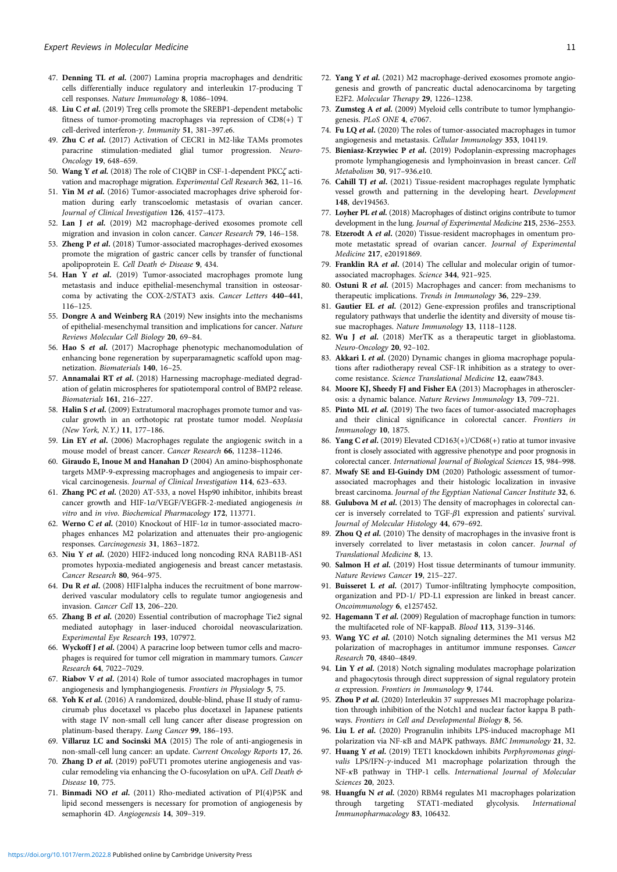- <span id="page-10-0"></span>47. Denning TL et al. (2007) Lamina propria macrophages and dendritic cells differentially induce regulatory and interleukin 17-producing T cell responses. Nature Immunology 8, 1086–1094.
- 48. Liu C et al. (2019) Treg cells promote the SREBP1-dependent metabolic fitness of tumor-promoting macrophages via repression of CD8(+) T cell-derived interferon-γ. Immunity 51, 381–397.e6.
- 49. Zhu C et al. (2017) Activation of CECR1 in M2-like TAMs promotes paracrine stimulation-mediated glial tumor progression. Neuro-Oncology 19, 648–659.
- 50. Wang Y et al. (2018) The role of C1QBP in CSF-1-dependent PKCζ activation and macrophage migration. Experimental Cell Research 362, 11–16.
- 51. Yin M et al. (2016) Tumor-associated macrophages drive spheroid formation during early transcoelomic metastasis of ovarian cancer. Journal of Clinical Investigation 126, 4157–4173.
- 52. Lan J et al. (2019) M2 macrophage-derived exosomes promote cell migration and invasion in colon cancer. Cancer Research 79, 146–158.
- 53. Zheng P et al. (2018) Tumor-associated macrophages-derived exosomes promote the migration of gastric cancer cells by transfer of functional apolipoprotein E. Cell Death & Disease 9, 434.
- 54. Han Y et al. (2019) Tumor-associated macrophages promote lung metastasis and induce epithelial-mesenchymal transition in osteosarcoma by activating the COX-2/STAT3 axis. Cancer Letters 440–441, 116–125.
- 55. Dongre A and Weinberg RA (2019) New insights into the mechanisms of epithelial-mesenchymal transition and implications for cancer. Nature Reviews Molecular Cell Biology 20, 69–84.
- 56. Hao S et al. (2017) Macrophage phenotypic mechanomodulation of enhancing bone regeneration by superparamagnetic scaffold upon magnetization. Biomaterials 140, 16–25.
- 57. Annamalai RT et al. (2018) Harnessing macrophage-mediated degradation of gelatin microspheres for spatiotemporal control of BMP2 release. Biomaterials 161, 216–227.
- 58. Halin S et al. (2009) Extratumoral macrophages promote tumor and vascular growth in an orthotopic rat prostate tumor model. Neoplasia (New York, N.Y.) 11, 177–186.
- 59. Lin EY et al. (2006) Macrophages regulate the angiogenic switch in a mouse model of breast cancer. Cancer Research 66, 11238–11246.
- 60. Giraudo E, Inoue M and Hanahan D (2004) An amino-bisphosphonate targets MMP-9-expressing macrophages and angiogenesis to impair cervical carcinogenesis. Journal of Clinical Investigation 114, 623–633.
- 61. Zhang PC et al. (2020) AT-533, a novel Hsp90 inhibitor, inhibits breast cancer growth and HIF-1 $\alpha$ /VEGF/VEGFR-2-mediated angiogenesis in vitro and in vivo. Biochemical Pharmacology 172, 113771.
- 62. Werno C et al. (2010) Knockout of HIF-1 $\alpha$  in tumor-associated macrophages enhances M2 polarization and attenuates their pro-angiogenic responses. Carcinogenesis 31, 1863–1872.
- 63. Niu Y et al. (2020) HIF2-induced long noncoding RNA RAB11B-AS1 promotes hypoxia-mediated angiogenesis and breast cancer metastasis. Cancer Research 80, 964–975.
- 64. Du R et al. (2008) HIF1alpha induces the recruitment of bone marrowderived vascular modulatory cells to regulate tumor angiogenesis and invasion. Cancer Cell 13, 206–220.
- 65. Zhang B et al. (2020) Essential contribution of macrophage Tie2 signal mediated autophagy in laser-induced choroidal neovascularization. Experimental Eye Research 193, 107972.
- 66. Wyckoff J et al. (2004) A paracrine loop between tumor cells and macrophages is required for tumor cell migration in mammary tumors. Cancer Research 64, 7022–7029.
- 67. Riabov V et al. (2014) Role of tumor associated macrophages in tumor angiogenesis and lymphangiogenesis. Frontiers in Physiology 5, 75.
- 68. Yoh K et al. (2016) A randomized, double-blind, phase II study of ramucirumab plus docetaxel vs placebo plus docetaxel in Japanese patients with stage IV non-small cell lung cancer after disease progression on platinum-based therapy. Lung Cancer 99, 186–193.
- 69. Villaruz LC and Socinski MA (2015) The role of anti-angiogenesis in non-small-cell lung cancer: an update. Current Oncology Reports 17, 26.
- 70. Zhang D et al. (2019) poFUT1 promotes uterine angiogenesis and vascular remodeling via enhancing the O-fucosylation on uPA. Cell Death & Disease 10, 775.
- 71. Binmadi NO et al. (2011) Rho-mediated activation of PI(4)P5K and lipid second messengers is necessary for promotion of angiogenesis by semaphorin 4D. Angiogenesis 14, 309–319.
- 72. Yang Y et al. (2021) M2 macrophage-derived exosomes promote angiogenesis and growth of pancreatic ductal adenocarcinoma by targeting E2F2. Molecular Therapy 29, 1226–1238.
- 73. Zumsteg A et al. (2009) Myeloid cells contribute to tumor lymphangiogenesis. PLoS ONE 4, e7067.
- 74. Fu LQ et al. (2020) The roles of tumor-associated macrophages in tumor angiogenesis and metastasis. Cellular Immunology 353, 104119.
- 75. Bieniasz-Krzywiec P et al. (2019) Podoplanin-expressing macrophages promote lymphangiogenesis and lymphoinvasion in breast cancer. Cell Metabolism 30, 917–936.e10.
- 76. Cahill TJ et al. (2021) Tissue-resident macrophages regulate lymphatic vessel growth and patterning in the developing heart. Development 148, dev194563.
- 77. Loyher PL et al. (2018) Macrophages of distinct origins contribute to tumor development in the lung. Journal of Experimental Medicine 215, 2536–2553.
- 78. Etzerodt A et al. (2020) Tissue-resident macrophages in omentum promote metastatic spread of ovarian cancer. Journal of Experimental Medicine 217, e20191869.
- 79. Franklin RA et al. (2014) The cellular and molecular origin of tumorassociated macrophages. Science 344, 921–925.
- 80. Ostuni R et al. (2015) Macrophages and cancer: from mechanisms to therapeutic implications. Trends in Immunology 36, 229–239.
- 81. Gautier EL et al. (2012) Gene-expression profiles and transcriptional regulatory pathways that underlie the identity and diversity of mouse tissue macrophages. Nature Immunology 13, 1118–1128.
- 82. Wu J et al. (2018) MerTK as a therapeutic target in glioblastoma. Neuro-Oncology 20, 92–102.
- 83. Akkari L et al. (2020) Dynamic changes in glioma macrophage populations after radiotherapy reveal CSF-1R inhibition as a strategy to overcome resistance. Science Translational Medicine 12, eaaw7843.
- 84. Moore KJ, Sheedy FJ and Fisher EA (2013) Macrophages in atherosclerosis: a dynamic balance. Nature Reviews Immunology 13, 709–721.
- 85. Pinto ML et al. (2019) The two faces of tumor-associated macrophages and their clinical significance in colorectal cancer. Frontiers in Immunology 10, 1875.
- 86. Yang C et al. (2019) Elevated CD163(+)/CD68(+) ratio at tumor invasive front is closely associated with aggressive phenotype and poor prognosis in colorectal cancer. International Journal of Biological Sciences 15, 984–998.
- 87. Mwafy SE and El-Guindy DM (2020) Pathologic assessment of tumorassociated macrophages and their histologic localization in invasive breast carcinoma. Journal of the Egyptian National Cancer Institute 32, 6.
- 88. Gulubova M et al. (2013) The density of macrophages in colorectal cancer is inversely correlated to TGF-β1 expression and patients' survival. Journal of Molecular Histology 44, 679–692.
- 89. Zhou Q et al. (2010) The density of macrophages in the invasive front is inversely correlated to liver metastasis in colon cancer. Journal of Translational Medicine 8, 13.
- 90. Salmon H et al. (2019) Host tissue determinants of tumour immunity. Nature Reviews Cancer 19, 215–227.
- 91. Buisseret L et al. (2017) Tumor-infiltrating lymphocyte composition, organization and PD-1/ PD-L1 expression are linked in breast cancer. Oncoimmunology 6, e1257452.
- 92. Hagemann T et al. (2009) Regulation of macrophage function in tumors: the multifaceted role of NF-kappaB. Blood 113, 3139–3146.
- 93. Wang YC et al. (2010) Notch signaling determines the M1 versus M2 polarization of macrophages in antitumor immune responses. Cancer Research 70, 4840–4849.
- 94. Lin Y et al. (2018) Notch signaling modulates macrophage polarization and phagocytosis through direct suppression of signal regulatory protein  $\alpha$  expression. Frontiers in Immunology 9, 1744.
- 95. Zhou P et al. (2020) Interleukin 37 suppresses M1 macrophage polarization through inhibition of the Notch1 and nuclear factor kappa B pathways. Frontiers in Cell and Developmental Biology 8, 56.
- 96. Liu L et al. (2020) Progranulin inhibits LPS-induced macrophage M1 polarization via NF-кB and MAPK pathways. BMC Immunology 21, 32.
- 97. Huang Y et al. (2019) TET1 knockdown inhibits Porphyromonas gingivalis LPS/IFN-γ-induced M1 macrophage polarization through the NF-κB pathway in THP-1 cells. International Journal of Molecular Sciences 20, 2023.
- 98. Huangfu N et al. (2020) RBM4 regulates M1 macrophages polarization through targeting STAT1-mediated glycolysis. International Immunopharmacology 83, 106432.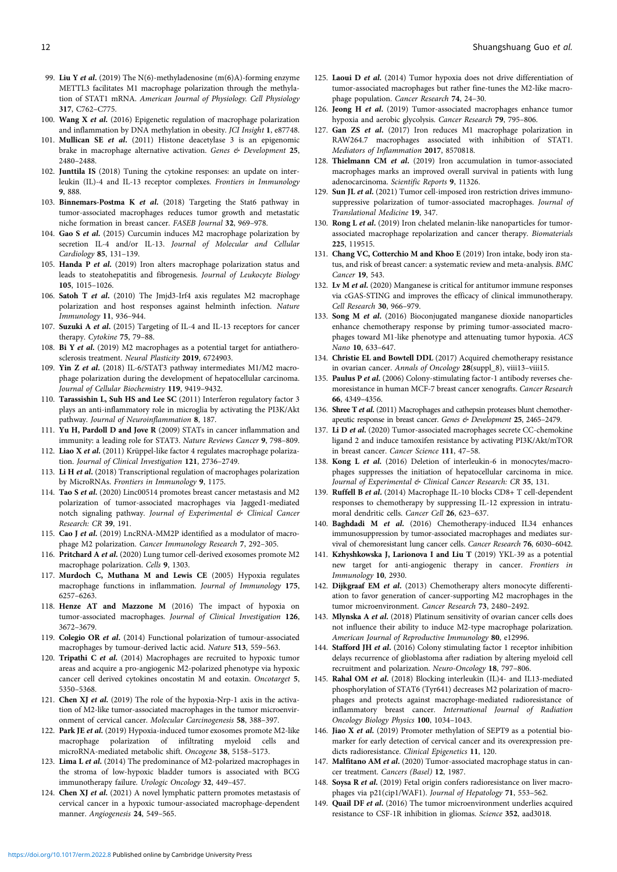- <span id="page-11-0"></span>99. Liu Y et al. (2019) The N(6)-methyladenosine (m(6)A)-forming enzyme METTL3 facilitates M1 macrophage polarization through the methylation of STAT1 mRNA. American Journal of Physiology. Cell Physiology 317, C762–C775.
- 100. Wang X et al. (2016) Epigenetic regulation of macrophage polarization and inflammation by DNA methylation in obesity. JCI Insight 1, e87748.
- 101. Mullican SE et al. (2011) Histone deacetylase 3 is an epigenomic brake in macrophage alternative activation. Genes & Development 25, 2480–2488.
- 102. Junttila IS (2018) Tuning the cytokine responses: an update on interleukin (IL)-4 and IL-13 receptor complexes. Frontiers in Immunology 9, 888.
- 103. Binnemars-Postma K et al. (2018) Targeting the Stat6 pathway in tumor-associated macrophages reduces tumor growth and metastatic niche formation in breast cancer. FASEB Journal 32, 969–978.
- 104. Gao S et al. (2015) Curcumin induces M2 macrophage polarization by secretion IL-4 and/or IL-13. Journal of Molecular and Cellular Cardiology 85, 131–139.
- 105. Handa P et al. (2019) Iron alters macrophage polarization status and leads to steatohepatitis and fibrogenesis. Journal of Leukocyte Biology 105, 1015–1026.
- 106. Satoh T et al. (2010) The Jmjd3-Irf4 axis regulates M2 macrophage polarization and host responses against helminth infection. Nature Immunology 11, 936–944.
- 107. Suzuki A et al. (2015) Targeting of IL-4 and IL-13 receptors for cancer therapy. Cytokine 75, 79–88.
- 108. Bi Y et al. (2019) M2 macrophages as a potential target for antiatherosclerosis treatment. Neural Plasticity 2019, 6724903.
- 109. Yin Z et al. (2018) IL-6/STAT3 pathway intermediates M1/M2 macrophage polarization during the development of hepatocellular carcinoma. Journal of Cellular Biochemistry 119, 9419–9432.
- 110. Tarassishin L, Suh HS and Lee SC (2011) Interferon regulatory factor 3 plays an anti-inflammatory role in microglia by activating the PI3K/Akt pathway. Journal of Neuroinflammation 8, 187.
- 111. Yu H, Pardoll D and Jove R (2009) STATs in cancer inflammation and immunity: a leading role for STAT3. Nature Reviews Cancer 9, 798–809.
- 112. Liao X et al. (2011) Krüppel-like factor 4 regulates macrophage polarization. Journal of Clinical Investigation 121, 2736–2749.
- 113. Li H et al. (2018) Transcriptional regulation of macrophages polarization by MicroRNAs. Frontiers in Immunology 9, 1175.
- 114. Tao S et al. (2020) Linc00514 promotes breast cancer metastasis and M2 polarization of tumor-associated macrophages via Jagged1-mediated notch signaling pathway. Journal of Experimental & Clinical Cancer Research: CR 39, 191.
- 115. Cao J et al. (2019) LncRNA-MM2P identified as a modulator of macrophage M2 polarization. Cancer Immunology Research 7, 292–305.
- 116. Pritchard A et al. (2020) Lung tumor cell-derived exosomes promote M2 macrophage polarization. Cells 9, 1303.
- 117. Murdoch C, Muthana M and Lewis CE (2005) Hypoxia regulates macrophage functions in inflammation. Journal of Immunology 175, 6257–6263.
- 118. Henze AT and Mazzone M (2016) The impact of hypoxia on tumor-associated macrophages. Journal of Clinical Investigation 126, 3672–3679.
- 119. Colegio OR et al. (2014) Functional polarization of tumour-associated macrophages by tumour-derived lactic acid. Nature 513, 559–563.
- 120. Tripathi C et al. (2014) Macrophages are recruited to hypoxic tumor areas and acquire a pro-angiogenic M2-polarized phenotype via hypoxic cancer cell derived cytokines oncostatin M and eotaxin. Oncotarget 5, 5350–5368.
- 121. Chen XJ et al. (2019) The role of the hypoxia-Nrp-1 axis in the activation of M2-like tumor-associated macrophages in the tumor microenvironment of cervical cancer. Molecular Carcinogenesis 58, 388–397.
- 122. Park JE et al. (2019) Hypoxia-induced tumor exosomes promote M2-like macrophage polarization of infiltrating myeloid cells and microRNA-mediated metabolic shift. Oncogene 38, 5158–5173.
- 123. Lima L et al. (2014) The predominance of M2-polarized macrophages in the stroma of low-hypoxic bladder tumors is associated with BCG immunotherapy failure. Urologic Oncology 32, 449–457.
- 124. Chen XJ et al. (2021) A novel lymphatic pattern promotes metastasis of cervical cancer in a hypoxic tumour-associated macrophage-dependent manner. Angiogenesis 24, 549–565.
- 125. Laoui D et al. (2014) Tumor hypoxia does not drive differentiation of tumor-associated macrophages but rather fine-tunes the M2-like macrophage population. Cancer Research 74, 24–30.
- 126. Jeong H et al. (2019) Tumor-associated macrophages enhance tumor hypoxia and aerobic glycolysis. Cancer Research 79, 795–806.
- 127. Gan ZS et al. (2017) Iron reduces M1 macrophage polarization in RAW264.7 macrophages associated with inhibition of STAT1. Mediators of Inflammation 2017, 8570818.
- 128. Thielmann CM et al. (2019) Iron accumulation in tumor-associated macrophages marks an improved overall survival in patients with lung adenocarcinoma. Scientific Reports 9, 11326.
- 129. Sun JL et al. (2021) Tumor cell-imposed iron restriction drives immunosuppressive polarization of tumor-associated macrophages. Journal of Translational Medicine 19, 347.
- 130. Rong L et al. (2019) Iron chelated melanin-like nanoparticles for tumorassociated macrophage repolarization and cancer therapy. Biomaterials 225, 119515.
- 131. Chang VC, Cotterchio M and Khoo E (2019) Iron intake, body iron status, and risk of breast cancer: a systematic review and meta-analysis. BMC Cancer 19, 543.
- 132. Lv M et al. (2020) Manganese is critical for antitumor immune responses via cGAS-STING and improves the efficacy of clinical immunotherapy. Cell Research 30, 966–979.
- 133. Song M et al. (2016) Bioconjugated manganese dioxide nanoparticles enhance chemotherapy response by priming tumor-associated macrophages toward M1-like phenotype and attenuating tumor hypoxia. ACS Nano 10, 633–647.
- 134. Christie EL and Bowtell DDL (2017) Acquired chemotherapy resistance in ovarian cancer. Annals of Oncology 28(suppl\_8), viii13–viii15.
- 135. Paulus P et al. (2006) Colony-stimulating factor-1 antibody reverses chemoresistance in human MCF-7 breast cancer xenografts. Cancer Research 66, 4349–4356.
- 136. Shree T et al. (2011) Macrophages and cathepsin proteases blunt chemotherapeutic response in breast cancer. Genes & Development 25, 2465–2479.
- 137. Li D et al. (2020) Tumor-associated macrophages secrete CC-chemokine ligand 2 and induce tamoxifen resistance by activating PI3K/Akt/mTOR in breast cancer. Cancer Science 111, 47–58.
- 138. Kong L et al. (2016) Deletion of interleukin-6 in monocytes/macrophages suppresses the initiation of hepatocellular carcinoma in mice. Journal of Experimental & Clinical Cancer Research: CR 35, 131.
- 139. Ruffell B et al. (2014) Macrophage IL-10 blocks CD8+ T cell-dependent responses to chemotherapy by suppressing IL-12 expression in intratumoral dendritic cells. Cancer Cell 26, 623–637.
- 140. Baghdadi M et al. (2016) Chemotherapy-induced IL34 enhances immunosuppression by tumor-associated macrophages and mediates survival of chemoresistant lung cancer cells. Cancer Research 76, 6030–6042.
- 141. Kzhyshkowska J, Larionova I and Liu T (2019) YKL-39 as a potential new target for anti-angiogenic therapy in cancer. Frontiers in Immunology 10, 2930.
- 142. Dijkgraaf EM et al. (2013) Chemotherapy alters monocyte differentiation to favor generation of cancer-supporting M2 macrophages in the tumor microenvironment. Cancer Research 73, 2480–2492.
- 143. Mlynska A et al. (2018) Platinum sensitivity of ovarian cancer cells does not influence their ability to induce M2-type macrophage polarization. American Journal of Reproductive Immunology 80, e12996.
- 144. Stafford JH et al. (2016) Colony stimulating factor 1 receptor inhibition delays recurrence of glioblastoma after radiation by altering myeloid cell recruitment and polarization. Neuro-Oncology 18, 797–806.
- 145. Rahal OM et al. (2018) Blocking interleukin (IL)4- and IL13-mediated phosphorylation of STAT6 (Tyr641) decreases M2 polarization of macrophages and protects against macrophage-mediated radioresistance of inflammatory breast cancer. International Journal of Radiation Oncology Biology Physics 100, 1034–1043.
- 146. Jiao X et al. (2019) Promoter methylation of SEPT9 as a potential biomarker for early detection of cervical cancer and its overexpression predicts radioresistance. Clinical Epigenetics 11, 120.
- 147. Malfitano AM et al. (2020) Tumor-associated macrophage status in cancer treatment. Cancers (Basel) 12, 1987.
- 148. Soysa R *et al.* (2019) Fetal origin confers radioresistance on liver macrophages via p21(cip1/WAF1). Journal of Hepatology 71, 553–562.
- 149. Quail DF et al. (2016) The tumor microenvironment underlies acquired resistance to CSF-1R inhibition in gliomas. Science 352, aad3018.